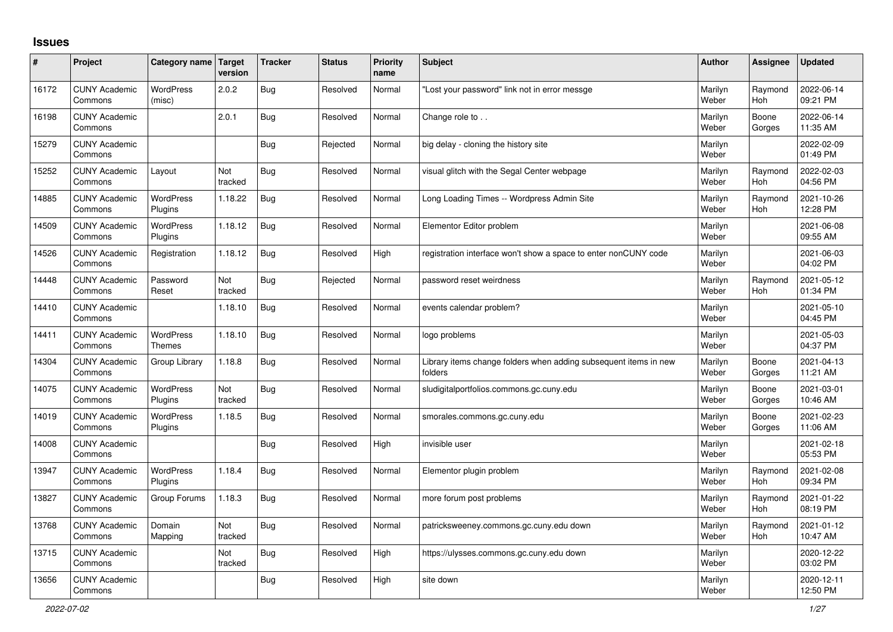## **Issues**

| #     | Project                         | Category name               | Target<br>version | <b>Tracker</b> | <b>Status</b> | Priority<br>name | <b>Subject</b>                                                              | <b>Author</b>    | Assignee              | <b>Updated</b>         |
|-------|---------------------------------|-----------------------------|-------------------|----------------|---------------|------------------|-----------------------------------------------------------------------------|------------------|-----------------------|------------------------|
| 16172 | <b>CUNY Academic</b><br>Commons | <b>WordPress</b><br>(misc)  | 2.0.2             | <b>Bug</b>     | Resolved      | Normal           | 'Lost your password" link not in error messge                               | Marilyn<br>Weber | Raymond<br><b>Hoh</b> | 2022-06-14<br>09:21 PM |
| 16198 | <b>CUNY Academic</b><br>Commons |                             | 2.0.1             | Bug            | Resolved      | Normal           | Change role to                                                              | Marilyn<br>Weber | Boone<br>Gorges       | 2022-06-14<br>11:35 AM |
| 15279 | <b>CUNY Academic</b><br>Commons |                             |                   | Bug            | Rejected      | Normal           | big delay - cloning the history site                                        | Marilyn<br>Weber |                       | 2022-02-09<br>01:49 PM |
| 15252 | <b>CUNY Academic</b><br>Commons | Layout                      | Not<br>tracked    | Bug            | Resolved      | Normal           | visual glitch with the Segal Center webpage                                 | Marilyn<br>Weber | Raymond<br><b>Hoh</b> | 2022-02-03<br>04:56 PM |
| 14885 | <b>CUNY Academic</b><br>Commons | <b>WordPress</b><br>Plugins | 1.18.22           | <b>Bug</b>     | Resolved      | Normal           | Long Loading Times -- Wordpress Admin Site                                  | Marilyn<br>Weber | Raymond<br>Hoh        | 2021-10-26<br>12:28 PM |
| 14509 | <b>CUNY Academic</b><br>Commons | WordPress<br>Plugins        | 1.18.12           | Bug            | Resolved      | Normal           | Elementor Editor problem                                                    | Marilyn<br>Weber |                       | 2021-06-08<br>09:55 AM |
| 14526 | <b>CUNY Academic</b><br>Commons | Registration                | 1.18.12           | Bug            | Resolved      | High             | registration interface won't show a space to enter nonCUNY code             | Marilyn<br>Weber |                       | 2021-06-03<br>04:02 PM |
| 14448 | <b>CUNY Academic</b><br>Commons | Password<br>Reset           | Not<br>tracked    | Bug            | Rejected      | Normal           | password reset weirdness                                                    | Marilyn<br>Weber | Raymond<br><b>Hoh</b> | 2021-05-12<br>01:34 PM |
| 14410 | <b>CUNY Academic</b><br>Commons |                             | 1.18.10           | Bug            | Resolved      | Normal           | events calendar problem?                                                    | Marilyn<br>Weber |                       | 2021-05-10<br>04:45 PM |
| 14411 | <b>CUNY Academic</b><br>Commons | <b>WordPress</b><br>Themes  | 1.18.10           | Bug            | Resolved      | Normal           | logo problems                                                               | Marilyn<br>Weber |                       | 2021-05-03<br>04:37 PM |
| 14304 | <b>CUNY Academic</b><br>Commons | Group Library               | 1.18.8            | Bug            | Resolved      | Normal           | Library items change folders when adding subsequent items in new<br>folders | Marilyn<br>Weber | Boone<br>Gorges       | 2021-04-13<br>11:21 AM |
| 14075 | <b>CUNY Academic</b><br>Commons | <b>WordPress</b><br>Plugins | Not<br>tracked    | Bug            | Resolved      | Normal           | sludigitalportfolios.commons.gc.cuny.edu                                    | Marilyn<br>Weber | Boone<br>Gorges       | 2021-03-01<br>10:46 AM |
| 14019 | <b>CUNY Academic</b><br>Commons | <b>WordPress</b><br>Plugins | 1.18.5            | Bug            | Resolved      | Normal           | smorales.commons.gc.cuny.edu                                                | Marilyn<br>Weber | Boone<br>Gorges       | 2021-02-23<br>11:06 AM |
| 14008 | <b>CUNY Academic</b><br>Commons |                             |                   | Bug            | Resolved      | High             | invisible user                                                              | Marilyn<br>Weber |                       | 2021-02-18<br>05:53 PM |
| 13947 | <b>CUNY Academic</b><br>Commons | WordPress<br>Plugins        | 1.18.4            | <b>Bug</b>     | Resolved      | Normal           | Elementor plugin problem                                                    | Marilyn<br>Weber | Raymond<br>Hoh        | 2021-02-08<br>09:34 PM |
| 13827 | <b>CUNY Academic</b><br>Commons | Group Forums                | 1.18.3            | Bug            | Resolved      | Normal           | more forum post problems                                                    | Marilyn<br>Weber | Raymond<br><b>Hoh</b> | 2021-01-22<br>08:19 PM |
| 13768 | <b>CUNY Academic</b><br>Commons | Domain<br>Mapping           | Not<br>tracked    | Bug            | Resolved      | Normal           | patricksweeney.commons.gc.cuny.edu down                                     | Marilyn<br>Weber | Raymond<br><b>Hoh</b> | 2021-01-12<br>10:47 AM |
| 13715 | <b>CUNY Academic</b><br>Commons |                             | Not<br>tracked    | Bug            | Resolved      | High             | https://ulysses.commons.gc.cuny.edu down                                    | Marilyn<br>Weber |                       | 2020-12-22<br>03:02 PM |
| 13656 | <b>CUNY Academic</b><br>Commons |                             |                   | Bug            | Resolved      | High             | site down                                                                   | Marilyn<br>Weber |                       | 2020-12-11<br>12:50 PM |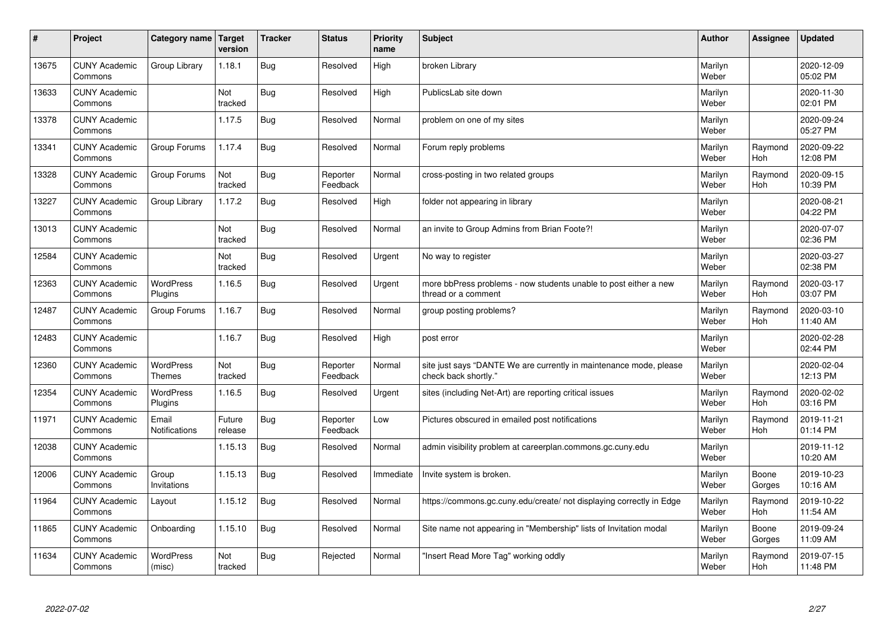| $\pmb{\#}$ | Project                         | Category name                     | <b>Target</b><br>version | <b>Tracker</b> | <b>Status</b>        | <b>Priority</b><br>name | <b>Subject</b>                                                                             | <b>Author</b>    | Assignee        | <b>Updated</b>         |
|------------|---------------------------------|-----------------------------------|--------------------------|----------------|----------------------|-------------------------|--------------------------------------------------------------------------------------------|------------------|-----------------|------------------------|
| 13675      | <b>CUNY Academic</b><br>Commons | Group Library                     | 1.18.1                   | <b>Bug</b>     | Resolved             | High                    | broken Library                                                                             | Marilyn<br>Weber |                 | 2020-12-09<br>05:02 PM |
| 13633      | <b>CUNY Academic</b><br>Commons |                                   | Not<br>tracked           | <b>Bug</b>     | Resolved             | High                    | PublicsLab site down                                                                       | Marilyn<br>Weber |                 | 2020-11-30<br>02:01 PM |
| 13378      | <b>CUNY Academic</b><br>Commons |                                   | 1.17.5                   | <b>Bug</b>     | Resolved             | Normal                  | problem on one of my sites                                                                 | Marilyn<br>Weber |                 | 2020-09-24<br>05:27 PM |
| 13341      | <b>CUNY Academic</b><br>Commons | Group Forums                      | 1.17.4                   | <b>Bug</b>     | Resolved             | Normal                  | Forum reply problems                                                                       | Marilyn<br>Weber | Raymond<br>Hoh  | 2020-09-22<br>12:08 PM |
| 13328      | <b>CUNY Academic</b><br>Commons | Group Forums                      | Not<br>tracked           | <b>Bug</b>     | Reporter<br>Feedback | Normal                  | cross-posting in two related groups                                                        | Marilyn<br>Weber | Raymond<br>Hoh  | 2020-09-15<br>10:39 PM |
| 13227      | <b>CUNY Academic</b><br>Commons | Group Library                     | 1.17.2                   | <b>Bug</b>     | Resolved             | High                    | folder not appearing in library                                                            | Marilyn<br>Weber |                 | 2020-08-21<br>04:22 PM |
| 13013      | <b>CUNY Academic</b><br>Commons |                                   | Not<br>tracked           | <b>Bug</b>     | Resolved             | Normal                  | an invite to Group Admins from Brian Foote?!                                               | Marilyn<br>Weber |                 | 2020-07-07<br>02:36 PM |
| 12584      | <b>CUNY Academic</b><br>Commons |                                   | Not<br>tracked           | <b>Bug</b>     | Resolved             | Urgent                  | No way to register                                                                         | Marilyn<br>Weber |                 | 2020-03-27<br>02:38 PM |
| 12363      | <b>CUNY Academic</b><br>Commons | WordPress<br>Plugins              | 1.16.5                   | <b>Bug</b>     | Resolved             | Urgent                  | more bbPress problems - now students unable to post either a new<br>thread or a comment    | Marilyn<br>Weber | Raymond<br>Hoh  | 2020-03-17<br>03:07 PM |
| 12487      | <b>CUNY Academic</b><br>Commons | Group Forums                      | 1.16.7                   | <b>Bug</b>     | Resolved             | Normal                  | group posting problems?                                                                    | Marilyn<br>Weber | Raymond<br>Hoh  | 2020-03-10<br>11:40 AM |
| 12483      | <b>CUNY Academic</b><br>Commons |                                   | 1.16.7                   | <b>Bug</b>     | Resolved             | High                    | post error                                                                                 | Marilyn<br>Weber |                 | 2020-02-28<br>02:44 PM |
| 12360      | <b>CUNY Academic</b><br>Commons | <b>WordPress</b><br><b>Themes</b> | Not<br>tracked           | <b>Bug</b>     | Reporter<br>Feedback | Normal                  | site just says "DANTE We are currently in maintenance mode, please<br>check back shortly." | Marilyn<br>Weber |                 | 2020-02-04<br>12:13 PM |
| 12354      | <b>CUNY Academic</b><br>Commons | <b>WordPress</b><br>Plugins       | 1.16.5                   | <b>Bug</b>     | Resolved             | Urgent                  | sites (including Net-Art) are reporting critical issues                                    | Marilyn<br>Weber | Raymond<br>Hoh  | 2020-02-02<br>03:16 PM |
| 11971      | <b>CUNY Academic</b><br>Commons | Email<br>Notifications            | Future<br>release        | <b>Bug</b>     | Reporter<br>Feedback | Low                     | Pictures obscured in emailed post notifications                                            | Marilyn<br>Weber | Raymond<br>Hoh  | 2019-11-21<br>01:14 PM |
| 12038      | <b>CUNY Academic</b><br>Commons |                                   | 1.15.13                  | <b>Bug</b>     | Resolved             | Normal                  | admin visibility problem at careerplan.commons.gc.cuny.edu                                 | Marilyn<br>Weber |                 | 2019-11-12<br>10:20 AM |
| 12006      | <b>CUNY Academic</b><br>Commons | Group<br>Invitations              | 1.15.13                  | <b>Bug</b>     | Resolved             | Immediate               | Invite system is broken.                                                                   | Marilyn<br>Weber | Boone<br>Gorges | 2019-10-23<br>10:16 AM |
| 11964      | <b>CUNY Academic</b><br>Commons | Layout                            | 1.15.12                  | <b>Bug</b>     | Resolved             | Normal                  | https://commons.gc.cuny.edu/create/ not displaying correctly in Edge                       | Marilyn<br>Weber | Raymond<br>Hoh  | 2019-10-22<br>11:54 AM |
| 11865      | <b>CUNY Academic</b><br>Commons | Onboarding                        | 1.15.10                  | Bug            | Resolved             | Normal                  | Site name not appearing in "Membership" lists of Invitation modal                          | Marilyn<br>Weber | Boone<br>Gorges | 2019-09-24<br>11:09 AM |
| 11634      | <b>CUNY Academic</b><br>Commons | <b>WordPress</b><br>(misc)        | Not<br>tracked           | <b>Bug</b>     | Rejected             | Normal                  | "Insert Read More Tag" working oddly                                                       | Marilyn<br>Weber | Raymond<br>Hoh  | 2019-07-15<br>11:48 PM |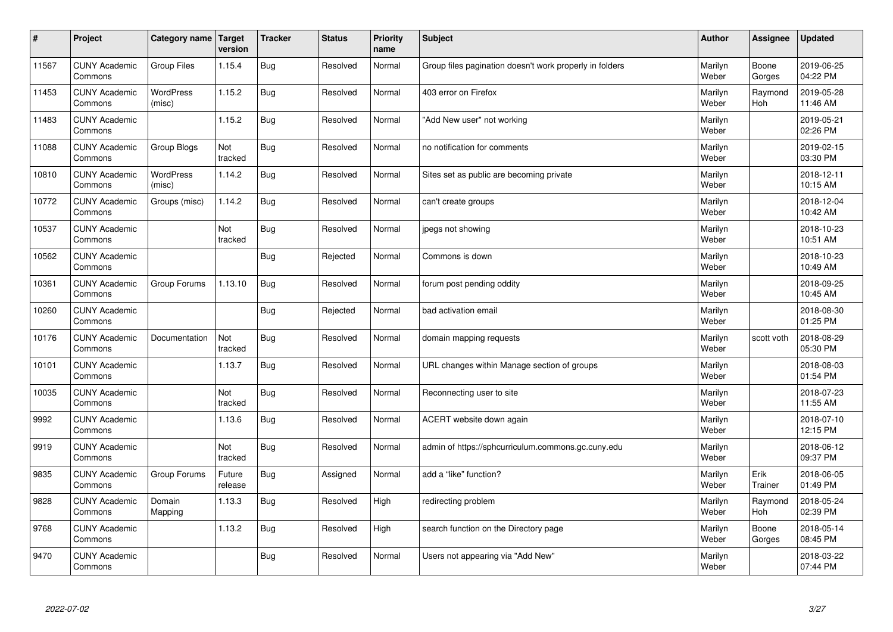| $\sharp$ | Project                         | Category name   Target     | version           | <b>Tracker</b> | <b>Status</b> | <b>Priority</b><br>name | <b>Subject</b>                                          | <b>Author</b>    | Assignee              | <b>Updated</b>         |
|----------|---------------------------------|----------------------------|-------------------|----------------|---------------|-------------------------|---------------------------------------------------------|------------------|-----------------------|------------------------|
| 11567    | <b>CUNY Academic</b><br>Commons | Group Files                | 1.15.4            | Bug            | Resolved      | Normal                  | Group files pagination doesn't work properly in folders | Marilyn<br>Weber | Boone<br>Gorges       | 2019-06-25<br>04:22 PM |
| 11453    | <b>CUNY Academic</b><br>Commons | <b>WordPress</b><br>(misc) | 1.15.2            | Bug            | Resolved      | Normal                  | 403 error on Firefox                                    | Marilyn<br>Weber | Raymond<br><b>Hoh</b> | 2019-05-28<br>11:46 AM |
| 11483    | <b>CUNY Academic</b><br>Commons |                            | 1.15.2            | Bug            | Resolved      | Normal                  | "Add New user" not working                              | Marilyn<br>Weber |                       | 2019-05-21<br>02:26 PM |
| 11088    | <b>CUNY Academic</b><br>Commons | Group Blogs                | Not<br>tracked    | Bug            | Resolved      | Normal                  | no notification for comments                            | Marilyn<br>Weber |                       | 2019-02-15<br>03:30 PM |
| 10810    | <b>CUNY Academic</b><br>Commons | <b>WordPress</b><br>(misc) | 1.14.2            | Bug            | Resolved      | Normal                  | Sites set as public are becoming private                | Marilyn<br>Weber |                       | 2018-12-11<br>10:15 AM |
| 10772    | <b>CUNY Academic</b><br>Commons | Groups (misc)              | 1.14.2            | Bug            | Resolved      | Normal                  | can't create groups                                     | Marilyn<br>Weber |                       | 2018-12-04<br>10:42 AM |
| 10537    | <b>CUNY Academic</b><br>Commons |                            | Not<br>tracked    | Bug            | Resolved      | Normal                  | jpegs not showing                                       | Marilyn<br>Weber |                       | 2018-10-23<br>10:51 AM |
| 10562    | <b>CUNY Academic</b><br>Commons |                            |                   | Bug            | Rejected      | Normal                  | Commons is down                                         | Marilyn<br>Weber |                       | 2018-10-23<br>10:49 AM |
| 10361    | <b>CUNY Academic</b><br>Commons | Group Forums               | 1.13.10           | Bug            | Resolved      | Normal                  | forum post pending oddity                               | Marilyn<br>Weber |                       | 2018-09-25<br>10:45 AM |
| 10260    | <b>CUNY Academic</b><br>Commons |                            |                   | Bug            | Rejected      | Normal                  | bad activation email                                    | Marilyn<br>Weber |                       | 2018-08-30<br>01:25 PM |
| 10176    | <b>CUNY Academic</b><br>Commons | Documentation              | Not<br>tracked    | Bug            | Resolved      | Normal                  | domain mapping requests                                 | Marilyn<br>Weber | scott voth            | 2018-08-29<br>05:30 PM |
| 10101    | <b>CUNY Academic</b><br>Commons |                            | 1.13.7            | <b>Bug</b>     | Resolved      | Normal                  | URL changes within Manage section of groups             | Marilyn<br>Weber |                       | 2018-08-03<br>01:54 PM |
| 10035    | <b>CUNY Academic</b><br>Commons |                            | Not<br>tracked    | Bug            | Resolved      | Normal                  | Reconnecting user to site                               | Marilyn<br>Weber |                       | 2018-07-23<br>11:55 AM |
| 9992     | <b>CUNY Academic</b><br>Commons |                            | 1.13.6            | Bug            | Resolved      | Normal                  | ACERT website down again                                | Marilyn<br>Weber |                       | 2018-07-10<br>12:15 PM |
| 9919     | <b>CUNY Academic</b><br>Commons |                            | Not<br>tracked    | Bug            | Resolved      | Normal                  | admin of https://sphcurriculum.commons.gc.cuny.edu      | Marilyn<br>Weber |                       | 2018-06-12<br>09:37 PM |
| 9835     | <b>CUNY Academic</b><br>Commons | Group Forums               | Future<br>release | Bug            | Assigned      | Normal                  | add a "like" function?                                  | Marilyn<br>Weber | Erik<br>Trainer       | 2018-06-05<br>01:49 PM |
| 9828     | <b>CUNY Academic</b><br>Commons | Domain<br>Mapping          | 1.13.3            | Bug            | Resolved      | High                    | redirecting problem                                     | Marilyn<br>Weber | Raymond<br><b>Hoh</b> | 2018-05-24<br>02:39 PM |
| 9768     | <b>CUNY Academic</b><br>Commons |                            | 1.13.2            | <b>Bug</b>     | Resolved      | High                    | search function on the Directory page                   | Marilyn<br>Weber | Boone<br>Gorges       | 2018-05-14<br>08:45 PM |
| 9470     | <b>CUNY Academic</b><br>Commons |                            |                   | Bug            | Resolved      | Normal                  | Users not appearing via "Add New"                       | Marilyn<br>Weber |                       | 2018-03-22<br>07:44 PM |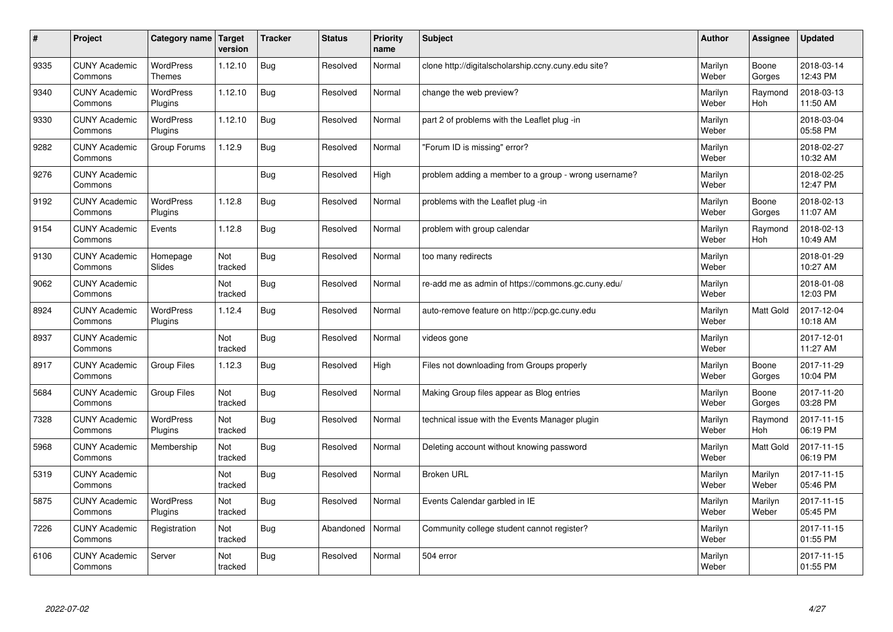| #    | Project                         | Category name   Target            | version        | <b>Tracker</b> | <b>Status</b> | <b>Priority</b><br>name | <b>Subject</b>                                       | <b>Author</b>    | <b>Assignee</b>       | <b>Updated</b>         |
|------|---------------------------------|-----------------------------------|----------------|----------------|---------------|-------------------------|------------------------------------------------------|------------------|-----------------------|------------------------|
| 9335 | <b>CUNY Academic</b><br>Commons | <b>WordPress</b><br><b>Themes</b> | 1.12.10        | Bug            | Resolved      | Normal                  | clone http://digitalscholarship.ccny.cuny.edu site?  | Marilyn<br>Weber | Boone<br>Gorges       | 2018-03-14<br>12:43 PM |
| 9340 | <b>CUNY Academic</b><br>Commons | <b>WordPress</b><br>Plugins       | 1.12.10        | Bug            | Resolved      | Normal                  | change the web preview?                              | Marilyn<br>Weber | Raymond<br>Hoh        | 2018-03-13<br>11:50 AM |
| 9330 | <b>CUNY Academic</b><br>Commons | <b>WordPress</b><br>Plugins       | 1.12.10        | Bug            | Resolved      | Normal                  | part 2 of problems with the Leaflet plug-in          | Marilyn<br>Weber |                       | 2018-03-04<br>05:58 PM |
| 9282 | <b>CUNY Academic</b><br>Commons | Group Forums                      | 1.12.9         | Bug            | Resolved      | Normal                  | 'Forum ID is missing" error?                         | Marilyn<br>Weber |                       | 2018-02-27<br>10:32 AM |
| 9276 | <b>CUNY Academic</b><br>Commons |                                   |                | Bug            | Resolved      | High                    | problem adding a member to a group - wrong username? | Marilyn<br>Weber |                       | 2018-02-25<br>12:47 PM |
| 9192 | <b>CUNY Academic</b><br>Commons | <b>WordPress</b><br>Plugins       | 1.12.8         | Bug            | Resolved      | Normal                  | problems with the Leaflet plug -in                   | Marilyn<br>Weber | Boone<br>Gorges       | 2018-02-13<br>11:07 AM |
| 9154 | <b>CUNY Academic</b><br>Commons | Events                            | 1.12.8         | Bug            | Resolved      | Normal                  | problem with group calendar                          | Marilyn<br>Weber | Raymond<br><b>Hoh</b> | 2018-02-13<br>10:49 AM |
| 9130 | <b>CUNY Academic</b><br>Commons | Homepage<br>Slides                | Not<br>tracked | Bug            | Resolved      | Normal                  | too many redirects                                   | Marilyn<br>Weber |                       | 2018-01-29<br>10:27 AM |
| 9062 | <b>CUNY Academic</b><br>Commons |                                   | Not<br>tracked | Bug            | Resolved      | Normal                  | re-add me as admin of https://commons.gc.cuny.edu/   | Marilyn<br>Weber |                       | 2018-01-08<br>12:03 PM |
| 8924 | <b>CUNY Academic</b><br>Commons | <b>WordPress</b><br>Plugins       | 1.12.4         | <b>Bug</b>     | Resolved      | Normal                  | auto-remove feature on http://pcp.gc.cuny.edu        | Marilyn<br>Weber | Matt Gold             | 2017-12-04<br>10:18 AM |
| 8937 | <b>CUNY Academic</b><br>Commons |                                   | Not<br>tracked | Bug            | Resolved      | Normal                  | videos gone                                          | Marilyn<br>Weber |                       | 2017-12-01<br>11:27 AM |
| 8917 | <b>CUNY Academic</b><br>Commons | <b>Group Files</b>                | 1.12.3         | Bug            | Resolved      | High                    | Files not downloading from Groups properly           | Marilyn<br>Weber | Boone<br>Gorges       | 2017-11-29<br>10:04 PM |
| 5684 | <b>CUNY Academic</b><br>Commons | <b>Group Files</b>                | Not<br>tracked | Bug            | Resolved      | Normal                  | Making Group files appear as Blog entries            | Marilyn<br>Weber | Boone<br>Gorges       | 2017-11-20<br>03:28 PM |
| 7328 | <b>CUNY Academic</b><br>Commons | WordPress<br>Plugins              | Not<br>tracked | Bug            | Resolved      | Normal                  | technical issue with the Events Manager plugin       | Marilyn<br>Weber | Raymond<br><b>Hoh</b> | 2017-11-15<br>06:19 PM |
| 5968 | <b>CUNY Academic</b><br>Commons | Membership                        | Not<br>tracked | Bug            | Resolved      | Normal                  | Deleting account without knowing password            | Marilyn<br>Weber | Matt Gold             | 2017-11-15<br>06:19 PM |
| 5319 | <b>CUNY Academic</b><br>Commons |                                   | Not<br>tracked | Bug            | Resolved      | Normal                  | <b>Broken URL</b>                                    | Marilyn<br>Weber | Marilyn<br>Weber      | 2017-11-15<br>05:46 PM |
| 5875 | <b>CUNY Academic</b><br>Commons | WordPress<br>Plugins              | Not<br>tracked | Bug            | Resolved      | Normal                  | Events Calendar garbled in IE                        | Marilyn<br>Weber | Marilyn<br>Weber      | 2017-11-15<br>05:45 PM |
| 7226 | <b>CUNY Academic</b><br>Commons | Registration                      | Not<br>tracked | Bug            | Abandoned     | Normal                  | Community college student cannot register?           | Marilyn<br>Weber |                       | 2017-11-15<br>01:55 PM |
| 6106 | <b>CUNY Academic</b><br>Commons | Server                            | Not<br>tracked | Bug            | Resolved      | Normal                  | 504 error                                            | Marilyn<br>Weber |                       | 2017-11-15<br>01:55 PM |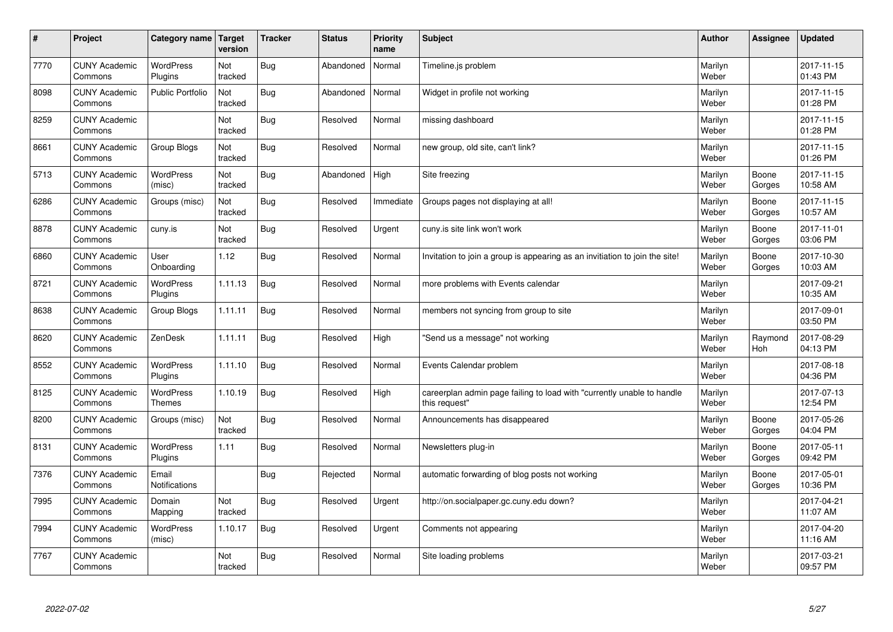| #    | Project                         | Category name   Target            | version        | <b>Tracker</b> | <b>Status</b> | Priority<br>name | <b>Subject</b>                                                                          | <b>Author</b>    | <b>Assignee</b>       | <b>Updated</b>         |
|------|---------------------------------|-----------------------------------|----------------|----------------|---------------|------------------|-----------------------------------------------------------------------------------------|------------------|-----------------------|------------------------|
| 7770 | <b>CUNY Academic</b><br>Commons | <b>WordPress</b><br>Plugins       | Not<br>tracked | <b>Bug</b>     | Abandoned     | Normal           | Timeline.js problem                                                                     | Marilyn<br>Weber |                       | 2017-11-15<br>01:43 PM |
| 8098 | <b>CUNY Academic</b><br>Commons | <b>Public Portfolio</b>           | Not<br>tracked | Bug            | Abandoned     | Normal           | Widget in profile not working                                                           | Marilyn<br>Weber |                       | 2017-11-15<br>01:28 PM |
| 8259 | <b>CUNY Academic</b><br>Commons |                                   | Not<br>tracked | Bug            | Resolved      | Normal           | missing dashboard                                                                       | Marilyn<br>Weber |                       | 2017-11-15<br>01:28 PM |
| 8661 | <b>CUNY Academic</b><br>Commons | Group Blogs                       | Not<br>tracked | Bug            | Resolved      | Normal           | new group, old site, can't link?                                                        | Marilyn<br>Weber |                       | 2017-11-15<br>01:26 PM |
| 5713 | <b>CUNY Academic</b><br>Commons | <b>WordPress</b><br>(misc)        | Not<br>tracked | <b>Bug</b>     | Abandoned     | High             | Site freezing                                                                           | Marilyn<br>Weber | Boone<br>Gorges       | 2017-11-15<br>10:58 AM |
| 6286 | <b>CUNY Academic</b><br>Commons | Groups (misc)                     | Not<br>tracked | Bug            | Resolved      | Immediate        | Groups pages not displaying at all!                                                     | Marilyn<br>Weber | Boone<br>Gorges       | 2017-11-15<br>10:57 AM |
| 8878 | <b>CUNY Academic</b><br>Commons | cuny.is                           | Not<br>tracked | Bug            | Resolved      | Urgent           | cuny is site link won't work                                                            | Marilyn<br>Weber | Boone<br>Gorges       | 2017-11-01<br>03:06 PM |
| 6860 | <b>CUNY Academic</b><br>Commons | User<br>Onboarding                | 1.12           | <b>Bug</b>     | Resolved      | Normal           | Invitation to join a group is appearing as an invitiation to join the site!             | Marilyn<br>Weber | Boone<br>Gorges       | 2017-10-30<br>10:03 AM |
| 8721 | <b>CUNY Academic</b><br>Commons | <b>WordPress</b><br>Plugins       | 1.11.13        | Bug            | Resolved      | Normal           | more problems with Events calendar                                                      | Marilyn<br>Weber |                       | 2017-09-21<br>10:35 AM |
| 8638 | <b>CUNY Academic</b><br>Commons | Group Blogs                       | 1.11.11        | <b>Bug</b>     | Resolved      | Normal           | members not syncing from group to site                                                  | Marilyn<br>Weber |                       | 2017-09-01<br>03:50 PM |
| 8620 | <b>CUNY Academic</b><br>Commons | ZenDesk                           | 1.11.11        | Bug            | Resolved      | High             | 'Send us a message" not working                                                         | Marilyn<br>Weber | Raymond<br><b>Hoh</b> | 2017-08-29<br>04:13 PM |
| 8552 | <b>CUNY Academic</b><br>Commons | <b>WordPress</b><br>Plugins       | 1.11.10        | <b>Bug</b>     | Resolved      | Normal           | Events Calendar problem                                                                 | Marilyn<br>Weber |                       | 2017-08-18<br>04:36 PM |
| 8125 | <b>CUNY Academic</b><br>Commons | <b>WordPress</b><br><b>Themes</b> | 1.10.19        | <b>Bug</b>     | Resolved      | High             | careerplan admin page failing to load with "currently unable to handle<br>this request" | Marilyn<br>Weber |                       | 2017-07-13<br>12:54 PM |
| 8200 | <b>CUNY Academic</b><br>Commons | Groups (misc)                     | Not<br>tracked | <b>Bug</b>     | Resolved      | Normal           | Announcements has disappeared                                                           | Marilyn<br>Weber | Boone<br>Gorges       | 2017-05-26<br>04:04 PM |
| 8131 | <b>CUNY Academic</b><br>Commons | <b>WordPress</b><br>Plugins       | 1.11           | Bug            | Resolved      | Normal           | Newsletters plug-in                                                                     | Marilyn<br>Weber | Boone<br>Gorges       | 2017-05-11<br>09:42 PM |
| 7376 | <b>CUNY Academic</b><br>Commons | Email<br><b>Notifications</b>     |                | Bug            | Rejected      | Normal           | automatic forwarding of blog posts not working                                          | Marilyn<br>Weber | Boone<br>Gorges       | 2017-05-01<br>10:36 PM |
| 7995 | <b>CUNY Academic</b><br>Commons | Domain<br>Mapping                 | Not<br>tracked | Bug            | Resolved      | Urgent           | http://on.socialpaper.gc.cuny.edu down?                                                 | Marilyn<br>Weber |                       | 2017-04-21<br>11:07 AM |
| 7994 | <b>CUNY Academic</b><br>Commons | WordPress<br>(misc)               | 1.10.17        | Bug            | Resolved      | Urgent           | Comments not appearing                                                                  | Marilyn<br>Weber |                       | 2017-04-20<br>11:16 AM |
| 7767 | <b>CUNY Academic</b><br>Commons |                                   | Not<br>tracked | Bug            | Resolved      | Normal           | Site loading problems                                                                   | Marilyn<br>Weber |                       | 2017-03-21<br>09:57 PM |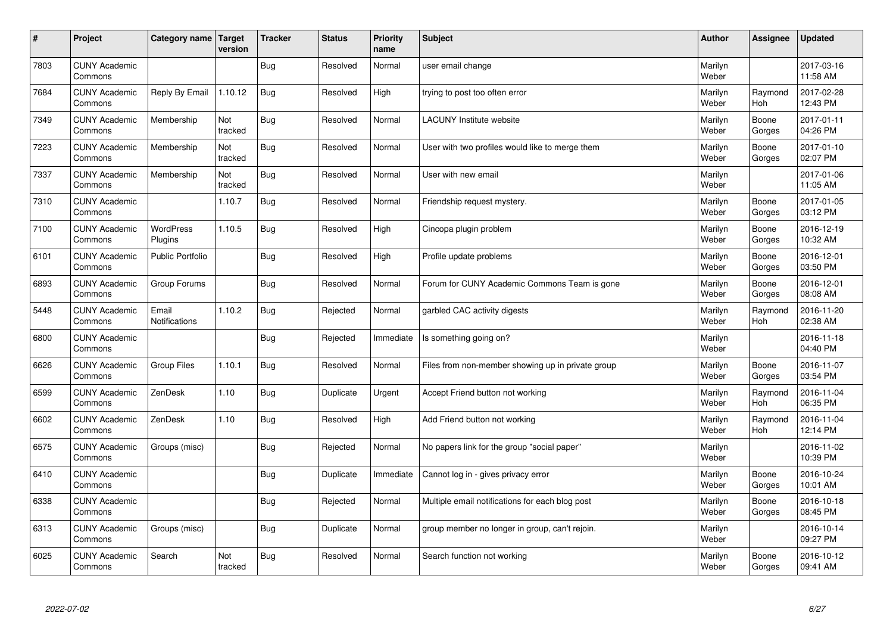| $\sharp$ | Project                         | Category name   Target      | version        | <b>Tracker</b> | <b>Status</b> | <b>Priority</b><br>name | <b>Subject</b>                                    | <b>Author</b>    | Assignee              | <b>Updated</b>         |
|----------|---------------------------------|-----------------------------|----------------|----------------|---------------|-------------------------|---------------------------------------------------|------------------|-----------------------|------------------------|
| 7803     | <b>CUNY Academic</b><br>Commons |                             |                | Bug            | Resolved      | Normal                  | user email change                                 | Marilyn<br>Weber |                       | 2017-03-16<br>11:58 AM |
| 7684     | <b>CUNY Academic</b><br>Commons | Reply By Email              | 1.10.12        | Bug            | Resolved      | High                    | trying to post too often error                    | Marilyn<br>Weber | Raymond<br><b>Hoh</b> | 2017-02-28<br>12:43 PM |
| 7349     | <b>CUNY Academic</b><br>Commons | Membership                  | Not<br>tracked | Bug            | Resolved      | Normal                  | <b>LACUNY</b> Institute website                   | Marilyn<br>Weber | Boone<br>Gorges       | 2017-01-11<br>04:26 PM |
| 7223     | <b>CUNY Academic</b><br>Commons | Membership                  | Not<br>tracked | Bug            | Resolved      | Normal                  | User with two profiles would like to merge them   | Marilyn<br>Weber | Boone<br>Gorges       | 2017-01-10<br>02:07 PM |
| 7337     | <b>CUNY Academic</b><br>Commons | Membership                  | Not<br>tracked | Bug            | Resolved      | Normal                  | User with new email                               | Marilyn<br>Weber |                       | 2017-01-06<br>11:05 AM |
| 7310     | <b>CUNY Academic</b><br>Commons |                             | 1.10.7         | <b>Bug</b>     | Resolved      | Normal                  | Friendship request mystery.                       | Marilyn<br>Weber | Boone<br>Gorges       | 2017-01-05<br>03:12 PM |
| 7100     | <b>CUNY Academic</b><br>Commons | <b>WordPress</b><br>Plugins | 1.10.5         | Bug            | Resolved      | High                    | Cincopa plugin problem                            | Marilyn<br>Weber | Boone<br>Gorges       | 2016-12-19<br>10:32 AM |
| 6101     | <b>CUNY Academic</b><br>Commons | Public Portfolio            |                | Bug            | Resolved      | High                    | Profile update problems                           | Marilyn<br>Weber | Boone<br>Gorges       | 2016-12-01<br>03:50 PM |
| 6893     | <b>CUNY Academic</b><br>Commons | Group Forums                |                | Bug            | Resolved      | Normal                  | Forum for CUNY Academic Commons Team is gone      | Marilyn<br>Weber | Boone<br>Gorges       | 2016-12-01<br>08:08 AM |
| 5448     | <b>CUNY Academic</b><br>Commons | Email<br>Notifications      | 1.10.2         | Bug            | Rejected      | Normal                  | garbled CAC activity digests                      | Marilyn<br>Weber | Raymond<br><b>Hoh</b> | 2016-11-20<br>02:38 AM |
| 6800     | <b>CUNY Academic</b><br>Commons |                             |                | <b>Bug</b>     | Rejected      | Immediate               | Is something going on?                            | Marilyn<br>Weber |                       | 2016-11-18<br>04:40 PM |
| 6626     | <b>CUNY Academic</b><br>Commons | Group Files                 | 1.10.1         | Bug            | Resolved      | Normal                  | Files from non-member showing up in private group | Marilyn<br>Weber | Boone<br>Gorges       | 2016-11-07<br>03:54 PM |
| 6599     | <b>CUNY Academic</b><br>Commons | ZenDesk                     | 1.10           | Bug            | Duplicate     | Urgent                  | Accept Friend button not working                  | Marilyn<br>Weber | Raymond<br>Hoh        | 2016-11-04<br>06:35 PM |
| 6602     | <b>CUNY Academic</b><br>Commons | ZenDesk                     | 1.10           | <b>Bug</b>     | Resolved      | High                    | Add Friend button not working                     | Marilyn<br>Weber | Raymond<br><b>Hoh</b> | 2016-11-04<br>12:14 PM |
| 6575     | <b>CUNY Academic</b><br>Commons | Groups (misc)               |                | <b>Bug</b>     | Rejected      | Normal                  | No papers link for the group "social paper"       | Marilyn<br>Weber |                       | 2016-11-02<br>10:39 PM |
| 6410     | <b>CUNY Academic</b><br>Commons |                             |                | Bug            | Duplicate     | Immediate               | Cannot log in - gives privacy error               | Marilyn<br>Weber | Boone<br>Gorges       | 2016-10-24<br>10:01 AM |
| 6338     | <b>CUNY Academic</b><br>Commons |                             |                | Bug            | Rejected      | Normal                  | Multiple email notifications for each blog post   | Marilyn<br>Weber | Boone<br>Gorges       | 2016-10-18<br>08:45 PM |
| 6313     | <b>CUNY Academic</b><br>Commons | Groups (misc)               |                | <b>Bug</b>     | Duplicate     | Normal                  | group member no longer in group, can't rejoin.    | Marilyn<br>Weber |                       | 2016-10-14<br>09:27 PM |
| 6025     | <b>CUNY Academic</b><br>Commons | Search                      | Not<br>tracked | Bug            | Resolved      | Normal                  | Search function not working                       | Marilyn<br>Weber | Boone<br>Gorges       | 2016-10-12<br>09:41 AM |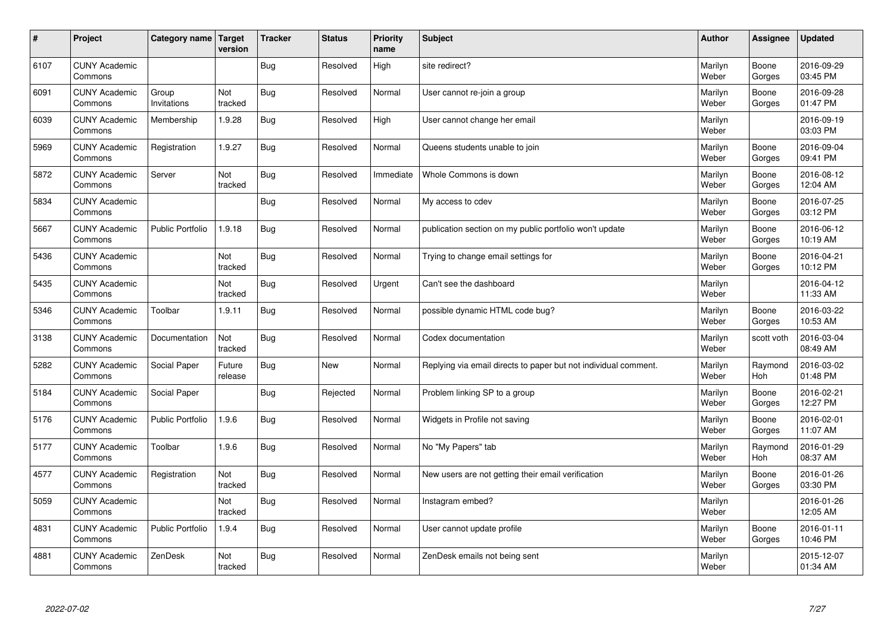| $\sharp$ | Project                         | Category name   Target  | version           | <b>Tracker</b> | <b>Status</b> | <b>Priority</b><br>name | <b>Subject</b>                                                  | <b>Author</b>    | Assignee              | <b>Updated</b>         |
|----------|---------------------------------|-------------------------|-------------------|----------------|---------------|-------------------------|-----------------------------------------------------------------|------------------|-----------------------|------------------------|
| 6107     | <b>CUNY Academic</b><br>Commons |                         |                   | Bug            | Resolved      | High                    | site redirect?                                                  | Marilyn<br>Weber | Boone<br>Gorges       | 2016-09-29<br>03:45 PM |
| 6091     | <b>CUNY Academic</b><br>Commons | Group<br>Invitations    | Not<br>tracked    | Bug            | Resolved      | Normal                  | User cannot re-join a group                                     | Marilyn<br>Weber | Boone<br>Gorges       | 2016-09-28<br>01:47 PM |
| 6039     | <b>CUNY Academic</b><br>Commons | Membership              | 1.9.28            | Bug            | Resolved      | High                    | User cannot change her email                                    | Marilyn<br>Weber |                       | 2016-09-19<br>03:03 PM |
| 5969     | <b>CUNY Academic</b><br>Commons | Registration            | 1.9.27            | <b>Bug</b>     | Resolved      | Normal                  | Queens students unable to join                                  | Marilyn<br>Weber | Boone<br>Gorges       | 2016-09-04<br>09:41 PM |
| 5872     | <b>CUNY Academic</b><br>Commons | Server                  | Not<br>tracked    | <b>Bug</b>     | Resolved      | Immediate               | Whole Commons is down                                           | Marilyn<br>Weber | Boone<br>Gorges       | 2016-08-12<br>12:04 AM |
| 5834     | <b>CUNY Academic</b><br>Commons |                         |                   | <b>Bug</b>     | Resolved      | Normal                  | My access to cdev                                               | Marilyn<br>Weber | Boone<br>Gorges       | 2016-07-25<br>03:12 PM |
| 5667     | <b>CUNY Academic</b><br>Commons | <b>Public Portfolio</b> | 1.9.18            | Bug            | Resolved      | Normal                  | publication section on my public portfolio won't update         | Marilyn<br>Weber | Boone<br>Gorges       | 2016-06-12<br>10:19 AM |
| 5436     | <b>CUNY Academic</b><br>Commons |                         | Not<br>tracked    | Bug            | Resolved      | Normal                  | Trying to change email settings for                             | Marilyn<br>Weber | Boone<br>Gorges       | 2016-04-21<br>10:12 PM |
| 5435     | <b>CUNY Academic</b><br>Commons |                         | Not<br>tracked    | Bug            | Resolved      | Urgent                  | Can't see the dashboard                                         | Marilyn<br>Weber |                       | 2016-04-12<br>11:33 AM |
| 5346     | <b>CUNY Academic</b><br>Commons | Toolbar                 | 1.9.11            | Bug            | Resolved      | Normal                  | possible dynamic HTML code bug?                                 | Marilyn<br>Weber | Boone<br>Gorges       | 2016-03-22<br>10:53 AM |
| 3138     | <b>CUNY Academic</b><br>Commons | Documentation           | Not<br>tracked    | Bug            | Resolved      | Normal                  | Codex documentation                                             | Marilyn<br>Weber | scott voth            | 2016-03-04<br>08:49 AM |
| 5282     | <b>CUNY Academic</b><br>Commons | Social Paper            | Future<br>release | Bug            | New           | Normal                  | Replying via email directs to paper but not individual comment. | Marilyn<br>Weber | Raymond<br><b>Hoh</b> | 2016-03-02<br>01:48 PM |
| 5184     | <b>CUNY Academic</b><br>Commons | Social Paper            |                   | Bug            | Rejected      | Normal                  | Problem linking SP to a group                                   | Marilyn<br>Weber | Boone<br>Gorges       | 2016-02-21<br>12:27 PM |
| 5176     | <b>CUNY Academic</b><br>Commons | Public Portfolio        | 1.9.6             | <b>Bug</b>     | Resolved      | Normal                  | Widgets in Profile not saving                                   | Marilyn<br>Weber | Boone<br>Gorges       | 2016-02-01<br>11:07 AM |
| 5177     | <b>CUNY Academic</b><br>Commons | Toolbar                 | 1.9.6             | Bug            | Resolved      | Normal                  | No "My Papers" tab                                              | Marilyn<br>Weber | Raymond<br><b>Hoh</b> | 2016-01-29<br>08:37 AM |
| 4577     | <b>CUNY Academic</b><br>Commons | Registration            | Not<br>tracked    | <b>Bug</b>     | Resolved      | Normal                  | New users are not getting their email verification              | Marilyn<br>Weber | Boone<br>Gorges       | 2016-01-26<br>03:30 PM |
| 5059     | <b>CUNY Academic</b><br>Commons |                         | Not<br>tracked    | Bug            | Resolved      | Normal                  | Instagram embed?                                                | Marilyn<br>Weber |                       | 2016-01-26<br>12:05 AM |
| 4831     | <b>CUNY Academic</b><br>Commons | Public Portfolio        | 1.9.4             | Bug            | Resolved      | Normal                  | User cannot update profile                                      | Marilyn<br>Weber | Boone<br>Gorges       | 2016-01-11<br>10:46 PM |
| 4881     | <b>CUNY Academic</b><br>Commons | ZenDesk                 | Not<br>tracked    | Bug            | Resolved      | Normal                  | ZenDesk emails not being sent                                   | Marilyn<br>Weber |                       | 2015-12-07<br>01:34 AM |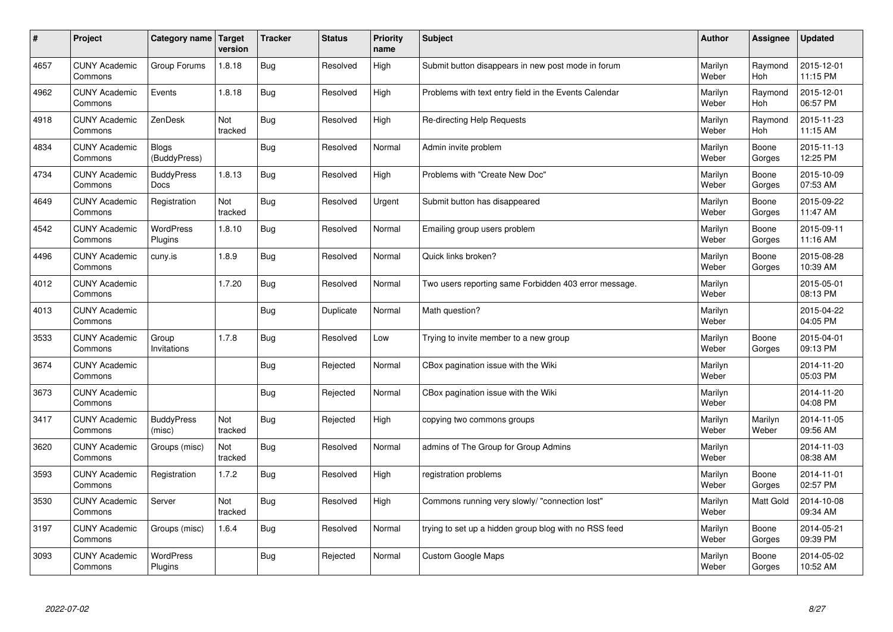| $\sharp$ | Project                         | Category name                | Target<br>version | <b>Tracker</b> | <b>Status</b> | <b>Priority</b><br>name | <b>Subject</b>                                        | <b>Author</b>    | Assignee              | <b>Updated</b>         |
|----------|---------------------------------|------------------------------|-------------------|----------------|---------------|-------------------------|-------------------------------------------------------|------------------|-----------------------|------------------------|
| 4657     | <b>CUNY Academic</b><br>Commons | Group Forums                 | 1.8.18            | Bug            | Resolved      | High                    | Submit button disappears in new post mode in forum    | Marilyn<br>Weber | Raymond<br><b>Hoh</b> | 2015-12-01<br>11:15 PM |
| 4962     | <b>CUNY Academic</b><br>Commons | Events                       | 1.8.18            | Bug            | Resolved      | High                    | Problems with text entry field in the Events Calendar | Marilyn<br>Weber | Raymond<br>Hoh        | 2015-12-01<br>06:57 PM |
| 4918     | <b>CUNY Academic</b><br>Commons | ZenDesk                      | Not<br>tracked    | Bug            | Resolved      | High                    | Re-directing Help Requests                            | Marilyn<br>Weber | Raymond<br><b>Hoh</b> | 2015-11-23<br>11:15 AM |
| 4834     | <b>CUNY Academic</b><br>Commons | <b>Blogs</b><br>(BuddyPress) |                   | Bug            | Resolved      | Normal                  | Admin invite problem                                  | Marilyn<br>Weber | Boone<br>Gorges       | 2015-11-13<br>12:25 PM |
| 4734     | <b>CUNY Academic</b><br>Commons | <b>BuddyPress</b><br>Docs    | 1.8.13            | Bug            | Resolved      | High                    | Problems with "Create New Doc"                        | Marilyn<br>Weber | Boone<br>Gorges       | 2015-10-09<br>07:53 AM |
| 4649     | <b>CUNY Academic</b><br>Commons | Registration                 | Not<br>tracked    | Bug            | Resolved      | Urgent                  | Submit button has disappeared                         | Marilyn<br>Weber | Boone<br>Gorges       | 2015-09-22<br>11:47 AM |
| 4542     | <b>CUNY Academic</b><br>Commons | WordPress<br>Plugins         | 1.8.10            | Bug            | Resolved      | Normal                  | Emailing group users problem                          | Marilyn<br>Weber | Boone<br>Gorges       | 2015-09-11<br>11:16 AM |
| 4496     | <b>CUNY Academic</b><br>Commons | cuny.is                      | 1.8.9             | Bug            | Resolved      | Normal                  | Quick links broken?                                   | Marilyn<br>Weber | Boone<br>Gorges       | 2015-08-28<br>10:39 AM |
| 4012     | <b>CUNY Academic</b><br>Commons |                              | 1.7.20            | Bug            | Resolved      | Normal                  | Two users reporting same Forbidden 403 error message. | Marilyn<br>Weber |                       | 2015-05-01<br>08:13 PM |
| 4013     | <b>CUNY Academic</b><br>Commons |                              |                   | Bug            | Duplicate     | Normal                  | Math question?                                        | Marilyn<br>Weber |                       | 2015-04-22<br>04:05 PM |
| 3533     | <b>CUNY Academic</b><br>Commons | Group<br>Invitations         | 1.7.8             | <b>Bug</b>     | Resolved      | Low                     | Trying to invite member to a new group                | Marilyn<br>Weber | Boone<br>Gorges       | 2015-04-01<br>09:13 PM |
| 3674     | <b>CUNY Academic</b><br>Commons |                              |                   | <b>Bug</b>     | Rejected      | Normal                  | CBox pagination issue with the Wiki                   | Marilyn<br>Weber |                       | 2014-11-20<br>05:03 PM |
| 3673     | <b>CUNY Academic</b><br>Commons |                              |                   | Bug            | Rejected      | Normal                  | CBox pagination issue with the Wiki                   | Marilyn<br>Weber |                       | 2014-11-20<br>04:08 PM |
| 3417     | <b>CUNY Academic</b><br>Commons | <b>BuddyPress</b><br>(misc)  | Not<br>tracked    | Bug            | Rejected      | High                    | copying two commons groups                            | Marilyn<br>Weber | Marilyn<br>Weber      | 2014-11-05<br>09:56 AM |
| 3620     | <b>CUNY Academic</b><br>Commons | Groups (misc)                | Not<br>tracked    | <b>Bug</b>     | Resolved      | Normal                  | admins of The Group for Group Admins                  | Marilyn<br>Weber |                       | 2014-11-03<br>08:38 AM |
| 3593     | <b>CUNY Academic</b><br>Commons | Registration                 | 1.7.2             | Bug            | Resolved      | High                    | registration problems                                 | Marilyn<br>Weber | Boone<br>Gorges       | 2014-11-01<br>02:57 PM |
| 3530     | <b>CUNY Academic</b><br>Commons | Server                       | Not<br>tracked    | Bug            | Resolved      | High                    | Commons running very slowly/ "connection lost"        | Marilyn<br>Weber | Matt Gold             | 2014-10-08<br>09:34 AM |
| 3197     | <b>CUNY Academic</b><br>Commons | Groups (misc)                | 1.6.4             | <b>Bug</b>     | Resolved      | Normal                  | trying to set up a hidden group blog with no RSS feed | Marilyn<br>Weber | Boone<br>Gorges       | 2014-05-21<br>09:39 PM |
| 3093     | <b>CUNY Academic</b><br>Commons | <b>WordPress</b><br>Plugins  |                   | Bug            | Rejected      | Normal                  | <b>Custom Google Maps</b>                             | Marilyn<br>Weber | Boone<br>Gorges       | 2014-05-02<br>10:52 AM |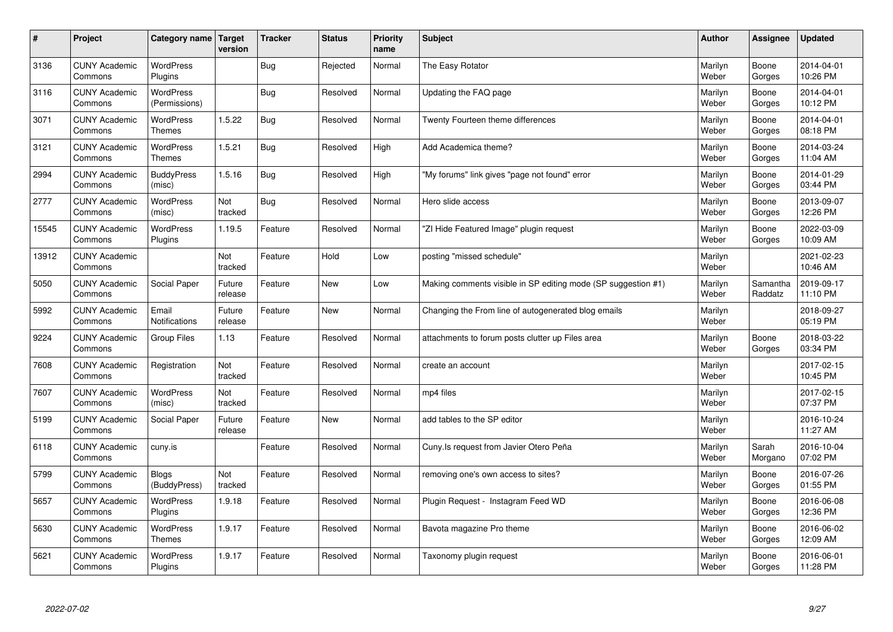| $\sharp$ | Project                         | Category name   Target            | version           | <b>Tracker</b> | <b>Status</b> | <b>Priority</b><br>name | <b>Subject</b>                                                | <b>Author</b>    | Assignee            | <b>Updated</b>         |
|----------|---------------------------------|-----------------------------------|-------------------|----------------|---------------|-------------------------|---------------------------------------------------------------|------------------|---------------------|------------------------|
| 3136     | <b>CUNY Academic</b><br>Commons | <b>WordPress</b><br>Plugins       |                   | Bug            | Rejected      | Normal                  | The Easy Rotator                                              | Marilyn<br>Weber | Boone<br>Gorges     | 2014-04-01<br>10:26 PM |
| 3116     | <b>CUNY Academic</b><br>Commons | WordPress<br>(Permissions)        |                   | Bug            | Resolved      | Normal                  | Updating the FAQ page                                         | Marilyn<br>Weber | Boone<br>Gorges     | 2014-04-01<br>10:12 PM |
| 3071     | <b>CUNY Academic</b><br>Commons | <b>WordPress</b><br><b>Themes</b> | 1.5.22            | Bug            | Resolved      | Normal                  | Twenty Fourteen theme differences                             | Marilyn<br>Weber | Boone<br>Gorges     | 2014-04-01<br>08:18 PM |
| 3121     | <b>CUNY Academic</b><br>Commons | <b>WordPress</b><br><b>Themes</b> | 1.5.21            | Bug            | Resolved      | High                    | Add Academica theme?                                          | Marilyn<br>Weber | Boone<br>Gorges     | 2014-03-24<br>11:04 AM |
| 2994     | <b>CUNY Academic</b><br>Commons | <b>BuddyPress</b><br>(misc)       | 1.5.16            | Bug            | Resolved      | High                    | "My forums" link gives "page not found" error                 | Marilyn<br>Weber | Boone<br>Gorges     | 2014-01-29<br>03:44 PM |
| 2777     | <b>CUNY Academic</b><br>Commons | WordPress<br>(misc)               | Not<br>tracked    | Bug            | Resolved      | Normal                  | Hero slide access                                             | Marilyn<br>Weber | Boone<br>Gorges     | 2013-09-07<br>12:26 PM |
| 15545    | <b>CUNY Academic</b><br>Commons | WordPress<br>Plugins              | 1.19.5            | Feature        | Resolved      | Normal                  | 'ZI Hide Featured Image" plugin request                       | Marilyn<br>Weber | Boone<br>Gorges     | 2022-03-09<br>10:09 AM |
| 13912    | <b>CUNY Academic</b><br>Commons |                                   | Not<br>tracked    | Feature        | Hold          | Low                     | posting "missed schedule"                                     | Marilyn<br>Weber |                     | 2021-02-23<br>10:46 AM |
| 5050     | <b>CUNY Academic</b><br>Commons | Social Paper                      | Future<br>release | Feature        | <b>New</b>    | Low                     | Making comments visible in SP editing mode (SP suggestion #1) | Marilyn<br>Weber | Samantha<br>Raddatz | 2019-09-17<br>11:10 PM |
| 5992     | <b>CUNY Academic</b><br>Commons | Email<br><b>Notifications</b>     | Future<br>release | Feature        | <b>New</b>    | Normal                  | Changing the From line of autogenerated blog emails           | Marilyn<br>Weber |                     | 2018-09-27<br>05:19 PM |
| 9224     | <b>CUNY Academic</b><br>Commons | Group Files                       | 1.13              | Feature        | Resolved      | Normal                  | attachments to forum posts clutter up Files area              | Marilyn<br>Weber | Boone<br>Gorges     | 2018-03-22<br>03:34 PM |
| 7608     | <b>CUNY Academic</b><br>Commons | Registration                      | Not<br>tracked    | Feature        | Resolved      | Normal                  | create an account                                             | Marilyn<br>Weber |                     | 2017-02-15<br>10:45 PM |
| 7607     | <b>CUNY Academic</b><br>Commons | WordPress<br>(misc)               | Not<br>tracked    | Feature        | Resolved      | Normal                  | mp4 files                                                     | Marilyn<br>Weber |                     | 2017-02-15<br>07:37 PM |
| 5199     | <b>CUNY Academic</b><br>Commons | Social Paper                      | Future<br>release | Feature        | <b>New</b>    | Normal                  | add tables to the SP editor                                   | Marilyn<br>Weber |                     | 2016-10-24<br>11:27 AM |
| 6118     | <b>CUNY Academic</b><br>Commons | cuny.is                           |                   | Feature        | Resolved      | Normal                  | Cuny.Is request from Javier Otero Peña                        | Marilyn<br>Weber | Sarah<br>Morgano    | 2016-10-04<br>07:02 PM |
| 5799     | <b>CUNY Academic</b><br>Commons | <b>Blogs</b><br>(BuddyPress)      | Not<br>tracked    | Feature        | Resolved      | Normal                  | removing one's own access to sites?                           | Marilyn<br>Weber | Boone<br>Gorges     | 2016-07-26<br>01:55 PM |
| 5657     | <b>CUNY Academic</b><br>Commons | WordPress<br>Plugins              | 1.9.18            | Feature        | Resolved      | Normal                  | Plugin Request - Instagram Feed WD                            | Marilyn<br>Weber | Boone<br>Gorges     | 2016-06-08<br>12:36 PM |
| 5630     | <b>CUNY Academic</b><br>Commons | WordPress<br><b>Themes</b>        | 1.9.17            | Feature        | Resolved      | Normal                  | Bavota magazine Pro theme                                     | Marilyn<br>Weber | Boone<br>Gorges     | 2016-06-02<br>12:09 AM |
| 5621     | <b>CUNY Academic</b><br>Commons | <b>WordPress</b><br>Plugins       | 1.9.17            | Feature        | Resolved      | Normal                  | Taxonomy plugin request                                       | Marilyn<br>Weber | Boone<br>Gorges     | 2016-06-01<br>11:28 PM |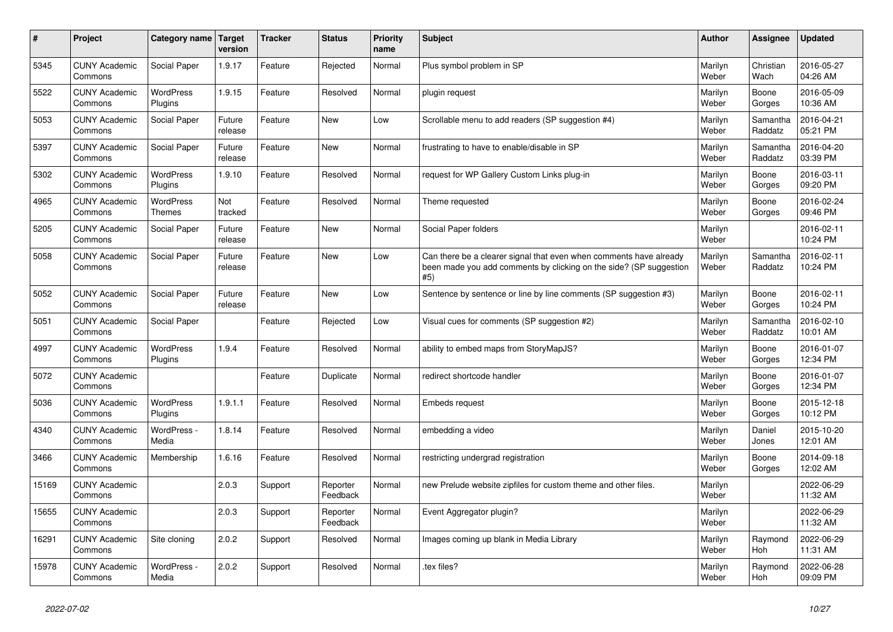| $\vert$ # | <b>Project</b>                  | Category name Target              | version           | <b>Tracker</b> | <b>Status</b>        | <b>Priority</b><br>name | <b>Subject</b>                                                                                                                                  | <b>Author</b>    | Assignee            | <b>Updated</b>         |
|-----------|---------------------------------|-----------------------------------|-------------------|----------------|----------------------|-------------------------|-------------------------------------------------------------------------------------------------------------------------------------------------|------------------|---------------------|------------------------|
| 5345      | <b>CUNY Academic</b><br>Commons | Social Paper                      | 1.9.17            | Feature        | Rejected             | Normal                  | Plus symbol problem in SP                                                                                                                       | Marilyn<br>Weber | Christian<br>Wach   | 2016-05-27<br>04:26 AM |
| 5522      | <b>CUNY Academic</b><br>Commons | <b>WordPress</b><br>Plugins       | 1.9.15            | Feature        | Resolved             | Normal                  | plugin request                                                                                                                                  | Marilyn<br>Weber | Boone<br>Gorges     | 2016-05-09<br>10:36 AM |
| 5053      | <b>CUNY Academic</b><br>Commons | Social Paper                      | Future<br>release | Feature        | <b>New</b>           | Low                     | Scrollable menu to add readers (SP suggestion #4)                                                                                               | Marilyn<br>Weber | Samantha<br>Raddatz | 2016-04-21<br>05:21 PM |
| 5397      | <b>CUNY Academic</b><br>Commons | Social Paper                      | Future<br>release | Feature        | <b>New</b>           | Normal                  | frustrating to have to enable/disable in SP                                                                                                     | Marilyn<br>Weber | Samantha<br>Raddatz | 2016-04-20<br>03:39 PM |
| 5302      | <b>CUNY Academic</b><br>Commons | <b>WordPress</b><br>Plugins       | 1.9.10            | Feature        | Resolved             | Normal                  | request for WP Gallery Custom Links plug-in                                                                                                     | Marilyn<br>Weber | Boone<br>Gorges     | 2016-03-11<br>09:20 PM |
| 4965      | <b>CUNY Academic</b><br>Commons | <b>WordPress</b><br><b>Themes</b> | Not<br>tracked    | Feature        | Resolved             | Normal                  | Theme requested                                                                                                                                 | Marilyn<br>Weber | Boone<br>Gorges     | 2016-02-24<br>09:46 PM |
| 5205      | <b>CUNY Academic</b><br>Commons | Social Paper                      | Future<br>release | Feature        | <b>New</b>           | Normal                  | Social Paper folders                                                                                                                            | Marilyn<br>Weber |                     | 2016-02-11<br>10:24 PM |
| 5058      | <b>CUNY Academic</b><br>Commons | Social Paper                      | Future<br>release | Feature        | New                  | Low                     | Can there be a clearer signal that even when comments have already<br>been made you add comments by clicking on the side? (SP suggestion<br>#5) | Marilyn<br>Weber | Samantha<br>Raddatz | 2016-02-11<br>10:24 PM |
| 5052      | <b>CUNY Academic</b><br>Commons | Social Paper                      | Future<br>release | Feature        | <b>New</b>           | Low                     | Sentence by sentence or line by line comments (SP suggestion #3)                                                                                | Marilyn<br>Weber | Boone<br>Gorges     | 2016-02-11<br>10:24 PM |
| 5051      | <b>CUNY Academic</b><br>Commons | Social Paper                      |                   | Feature        | Rejected             | Low                     | Visual cues for comments (SP suggestion #2)                                                                                                     | Marilyn<br>Weber | Samantha<br>Raddatz | 2016-02-10<br>10:01 AM |
| 4997      | <b>CUNY Academic</b><br>Commons | WordPress<br>Plugins              | 1.9.4             | Feature        | Resolved             | Normal                  | ability to embed maps from StoryMapJS?                                                                                                          | Marilyn<br>Weber | Boone<br>Gorges     | 2016-01-07<br>12:34 PM |
| 5072      | <b>CUNY Academic</b><br>Commons |                                   |                   | Feature        | Duplicate            | Normal                  | redirect shortcode handler                                                                                                                      | Marilyn<br>Weber | Boone<br>Gorges     | 2016-01-07<br>12:34 PM |
| 5036      | <b>CUNY Academic</b><br>Commons | <b>WordPress</b><br>Plugins       | 1.9.1.1           | Feature        | Resolved             | Normal                  | Embeds request                                                                                                                                  | Marilyn<br>Weber | Boone<br>Gorges     | 2015-12-18<br>10:12 PM |
| 4340      | <b>CUNY Academic</b><br>Commons | WordPress -<br>Media              | 1.8.14            | Feature        | Resolved             | Normal                  | embedding a video                                                                                                                               | Marilyn<br>Weber | Daniel<br>Jones     | 2015-10-20<br>12:01 AM |
| 3466      | <b>CUNY Academic</b><br>Commons | Membership                        | 1.6.16            | Feature        | Resolved             | Normal                  | restricting undergrad registration                                                                                                              | Marilyn<br>Weber | Boone<br>Gorges     | 2014-09-18<br>12:02 AM |
| 15169     | <b>CUNY Academic</b><br>Commons |                                   | 2.0.3             | Support        | Reporter<br>Feedback | Normal                  | new Prelude website zipfiles for custom theme and other files.                                                                                  | Marilyn<br>Weber |                     | 2022-06-29<br>11:32 AM |
| 15655     | <b>CUNY Academic</b><br>Commons |                                   | 2.0.3             | Support        | Reporter<br>Feedback | Normal                  | Event Aggregator plugin?                                                                                                                        | Marilyn<br>Weber |                     | 2022-06-29<br>11:32 AM |
| 16291     | <b>CUNY Academic</b><br>Commons | Site cloning                      | 2.0.2             | Support        | Resolved             | Normal                  | Images coming up blank in Media Library                                                                                                         | Marilyn<br>Weber | Raymond<br>Hoh      | 2022-06-29<br>11:31 AM |
| 15978     | <b>CUNY Academic</b><br>Commons | WordPress -<br>Media              | 2.0.2             | Support        | Resolved             | Normal                  | .tex files?                                                                                                                                     | Marilyn<br>Weber | Raymond<br>Hoh      | 2022-06-28<br>09:09 PM |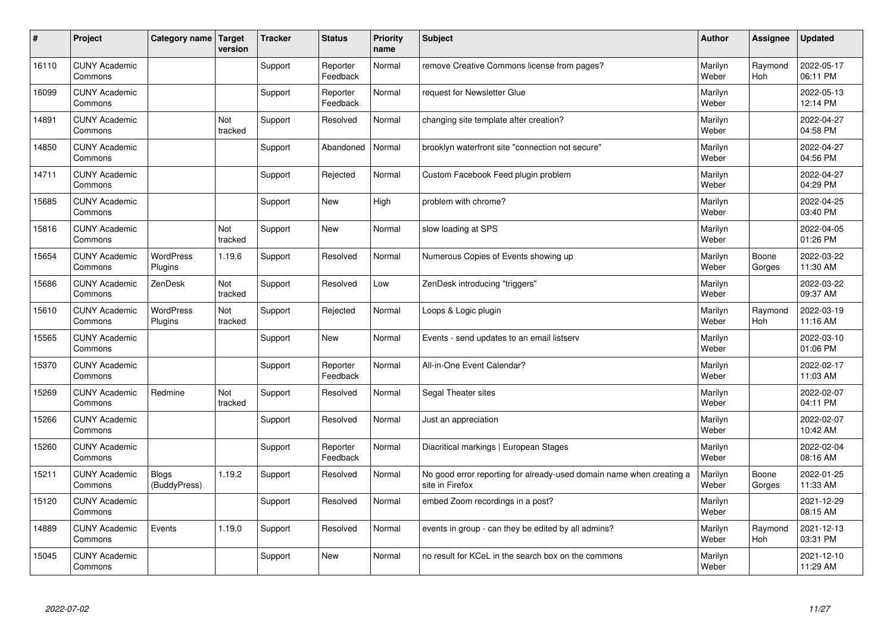| $\vert$ # | Project                         | Category name   Target       | version        | <b>Tracker</b> | <b>Status</b>        | <b>Priority</b><br>name | <b>Subject</b>                                                                          | <b>Author</b>    | Assignee              | <b>Updated</b>         |
|-----------|---------------------------------|------------------------------|----------------|----------------|----------------------|-------------------------|-----------------------------------------------------------------------------------------|------------------|-----------------------|------------------------|
| 16110     | <b>CUNY Academic</b><br>Commons |                              |                | Support        | Reporter<br>Feedback | Normal                  | remove Creative Commons license from pages?                                             | Marilyn<br>Weber | Raymond<br><b>Hoh</b> | 2022-05-17<br>06:11 PM |
| 16099     | <b>CUNY Academic</b><br>Commons |                              |                | Support        | Reporter<br>Feedback | Normal                  | request for Newsletter Glue                                                             | Marilyn<br>Weber |                       | 2022-05-13<br>12:14 PM |
| 14891     | <b>CUNY Academic</b><br>Commons |                              | Not<br>tracked | Support        | Resolved             | Normal                  | changing site template after creation?                                                  | Marilyn<br>Weber |                       | 2022-04-27<br>04:58 PM |
| 14850     | <b>CUNY Academic</b><br>Commons |                              |                | Support        | Abandoned            | Normal                  | brooklyn waterfront site "connection not secure"                                        | Marilyn<br>Weber |                       | 2022-04-27<br>04:56 PM |
| 14711     | <b>CUNY Academic</b><br>Commons |                              |                | Support        | Rejected             | Normal                  | Custom Facebook Feed plugin problem                                                     | Marilyn<br>Weber |                       | 2022-04-27<br>04:29 PM |
| 15685     | <b>CUNY Academic</b><br>Commons |                              |                | Support        | <b>New</b>           | High                    | problem with chrome?                                                                    | Marilyn<br>Weber |                       | 2022-04-25<br>03:40 PM |
| 15816     | <b>CUNY Academic</b><br>Commons |                              | Not<br>tracked | Support        | <b>New</b>           | Normal                  | slow loading at SPS                                                                     | Marilyn<br>Weber |                       | 2022-04-05<br>01:26 PM |
| 15654     | <b>CUNY Academic</b><br>Commons | <b>WordPress</b><br>Plugins  | 1.19.6         | Support        | Resolved             | Normal                  | Numerous Copies of Events showing up                                                    | Marilyn<br>Weber | Boone<br>Gorges       | 2022-03-22<br>11:30 AM |
| 15686     | <b>CUNY Academic</b><br>Commons | ZenDesk                      | Not<br>tracked | Support        | Resolved             | Low                     | ZenDesk introducing "triggers"                                                          | Marilyn<br>Weber |                       | 2022-03-22<br>09:37 AM |
| 15610     | <b>CUNY Academic</b><br>Commons | WordPress<br>Plugins         | Not<br>tracked | Support        | Rejected             | Normal                  | Loops & Logic plugin                                                                    | Marilyn<br>Weber | Raymond<br>Hoh        | 2022-03-19<br>11:16 AM |
| 15565     | <b>CUNY Academic</b><br>Commons |                              |                | Support        | <b>New</b>           | Normal                  | Events - send updates to an email listserv                                              | Marilyn<br>Weber |                       | 2022-03-10<br>01:06 PM |
| 15370     | <b>CUNY Academic</b><br>Commons |                              |                | Support        | Reporter<br>Feedback | Normal                  | All-in-One Event Calendar?                                                              | Marilyn<br>Weber |                       | 2022-02-17<br>11:03 AM |
| 15269     | <b>CUNY Academic</b><br>Commons | Redmine                      | Not<br>tracked | Support        | Resolved             | Normal                  | Segal Theater sites                                                                     | Marilyn<br>Weber |                       | 2022-02-07<br>04:11 PM |
| 15266     | <b>CUNY Academic</b><br>Commons |                              |                | Support        | Resolved             | Normal                  | Just an appreciation                                                                    | Marilyn<br>Weber |                       | 2022-02-07<br>10:42 AM |
| 15260     | <b>CUNY Academic</b><br>Commons |                              |                | Support        | Reporter<br>Feedback | Normal                  | Diacritical markings   European Stages                                                  | Marilyn<br>Weber |                       | 2022-02-04<br>08:16 AM |
| 15211     | <b>CUNY Academic</b><br>Commons | <b>Blogs</b><br>(BuddyPress) | 1.19.2         | Support        | Resolved             | Normal                  | No good error reporting for already-used domain name when creating a<br>site in Firefox | Marilyn<br>Weber | Boone<br>Gorges       | 2022-01-25<br>11:33 AM |
| 15120     | <b>CUNY Academic</b><br>Commons |                              |                | Support        | Resolved             | Normal                  | embed Zoom recordings in a post?                                                        | Marilyn<br>Weber |                       | 2021-12-29<br>08:15 AM |
| 14889     | <b>CUNY Academic</b><br>Commons | Events                       | 1.19.0         | Support        | Resolved             | Normal                  | events in group - can they be edited by all admins?                                     | Marilyn<br>Weber | Raymond<br>Hoh        | 2021-12-13<br>03:31 PM |
| 15045     | <b>CUNY Academic</b><br>Commons |                              |                | Support        | <b>New</b>           | Normal                  | no result for KCeL in the search box on the commons                                     | Marilyn<br>Weber |                       | 2021-12-10<br>11:29 AM |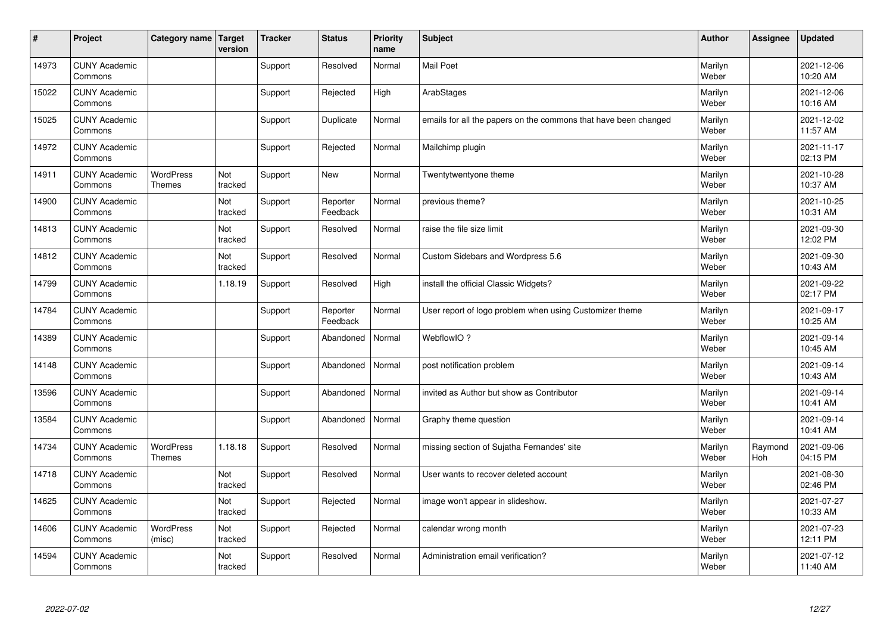| #     | Project                         | Category name   Target            | version        | <b>Tracker</b> | <b>Status</b>        | <b>Priority</b><br>name | <b>Subject</b>                                                  | <b>Author</b>    | <b>Assignee</b> | <b>Updated</b>         |
|-------|---------------------------------|-----------------------------------|----------------|----------------|----------------------|-------------------------|-----------------------------------------------------------------|------------------|-----------------|------------------------|
| 14973 | <b>CUNY Academic</b><br>Commons |                                   |                | Support        | Resolved             | Normal                  | <b>Mail Poet</b>                                                | Marilyn<br>Weber |                 | 2021-12-06<br>10:20 AM |
| 15022 | <b>CUNY Academic</b><br>Commons |                                   |                | Support        | Rejected             | High                    | ArabStages                                                      | Marilyn<br>Weber |                 | 2021-12-06<br>10:16 AM |
| 15025 | <b>CUNY Academic</b><br>Commons |                                   |                | Support        | Duplicate            | Normal                  | emails for all the papers on the commons that have been changed | Marilyn<br>Weber |                 | 2021-12-02<br>11:57 AM |
| 14972 | <b>CUNY Academic</b><br>Commons |                                   |                | Support        | Rejected             | Normal                  | Mailchimp plugin                                                | Marilyn<br>Weber |                 | 2021-11-17<br>02:13 PM |
| 14911 | <b>CUNY Academic</b><br>Commons | <b>WordPress</b><br><b>Themes</b> | Not<br>tracked | Support        | <b>New</b>           | Normal                  | Twentytwentyone theme                                           | Marilyn<br>Weber |                 | 2021-10-28<br>10:37 AM |
| 14900 | <b>CUNY Academic</b><br>Commons |                                   | Not<br>tracked | Support        | Reporter<br>Feedback | Normal                  | previous theme?                                                 | Marilyn<br>Weber |                 | 2021-10-25<br>10:31 AM |
| 14813 | <b>CUNY Academic</b><br>Commons |                                   | Not<br>tracked | Support        | Resolved             | Normal                  | raise the file size limit                                       | Marilyn<br>Weber |                 | 2021-09-30<br>12:02 PM |
| 14812 | <b>CUNY Academic</b><br>Commons |                                   | Not<br>tracked | Support        | Resolved             | Normal                  | Custom Sidebars and Wordpress 5.6                               | Marilyn<br>Weber |                 | 2021-09-30<br>10:43 AM |
| 14799 | <b>CUNY Academic</b><br>Commons |                                   | 1.18.19        | Support        | Resolved             | High                    | install the official Classic Widgets?                           | Marilyn<br>Weber |                 | 2021-09-22<br>02:17 PM |
| 14784 | <b>CUNY Academic</b><br>Commons |                                   |                | Support        | Reporter<br>Feedback | Normal                  | User report of logo problem when using Customizer theme         | Marilyn<br>Weber |                 | 2021-09-17<br>10:25 AM |
| 14389 | <b>CUNY Academic</b><br>Commons |                                   |                | Support        | Abandoned            | Normal                  | WebflowIO?                                                      | Marilyn<br>Weber |                 | 2021-09-14<br>10:45 AM |
| 14148 | <b>CUNY Academic</b><br>Commons |                                   |                | Support        | Abandoned            | Normal                  | post notification problem                                       | Marilyn<br>Weber |                 | 2021-09-14<br>10:43 AM |
| 13596 | <b>CUNY Academic</b><br>Commons |                                   |                | Support        | Abandoned            | Normal                  | invited as Author but show as Contributor                       | Marilyn<br>Weber |                 | 2021-09-14<br>10:41 AM |
| 13584 | <b>CUNY Academic</b><br>Commons |                                   |                | Support        | Abandoned            | Normal                  | Graphy theme question                                           | Marilyn<br>Weber |                 | 2021-09-14<br>10:41 AM |
| 14734 | <b>CUNY Academic</b><br>Commons | <b>WordPress</b><br>Themes        | 1.18.18        | Support        | Resolved             | Normal                  | missing section of Sujatha Fernandes' site                      | Marilyn<br>Weber | Raymond<br>Hoh  | 2021-09-06<br>04:15 PM |
| 14718 | <b>CUNY Academic</b><br>Commons |                                   | Not<br>tracked | Support        | Resolved             | Normal                  | User wants to recover deleted account                           | Marilyn<br>Weber |                 | 2021-08-30<br>02:46 PM |
| 14625 | <b>CUNY Academic</b><br>Commons |                                   | Not<br>tracked | Support        | Rejected             | Normal                  | image won't appear in slideshow.                                | Marilyn<br>Weber |                 | 2021-07-27<br>10:33 AM |
| 14606 | <b>CUNY Academic</b><br>Commons | <b>WordPress</b><br>(misc)        | Not<br>tracked | Support        | Rejected             | Normal                  | calendar wrong month                                            | Marilyn<br>Weber |                 | 2021-07-23<br>12:11 PM |
| 14594 | <b>CUNY Academic</b><br>Commons |                                   | Not<br>tracked | Support        | Resolved             | Normal                  | Administration email verification?                              | Marilyn<br>Weber |                 | 2021-07-12<br>11:40 AM |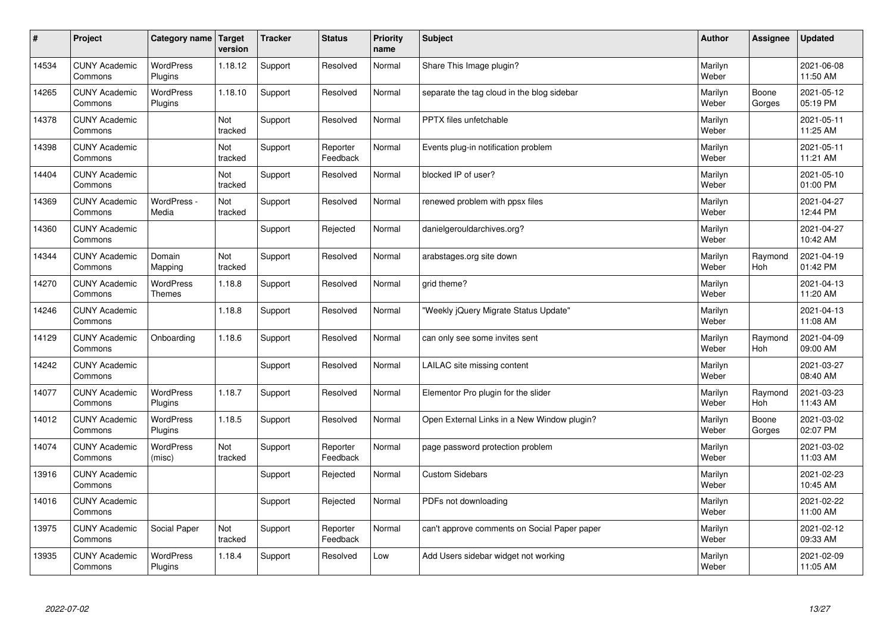| #     | Project                         | Category name   Target      | version        | <b>Tracker</b> | <b>Status</b>        | Priority<br>name | <b>Subject</b>                               | <b>Author</b>    | <b>Assignee</b>       | <b>Updated</b>         |
|-------|---------------------------------|-----------------------------|----------------|----------------|----------------------|------------------|----------------------------------------------|------------------|-----------------------|------------------------|
| 14534 | <b>CUNY Academic</b><br>Commons | <b>WordPress</b><br>Plugins | 1.18.12        | Support        | Resolved             | Normal           | Share This Image plugin?                     | Marilyn<br>Weber |                       | 2021-06-08<br>11:50 AM |
| 14265 | <b>CUNY Academic</b><br>Commons | WordPress<br>Plugins        | 1.18.10        | Support        | Resolved             | Normal           | separate the tag cloud in the blog sidebar   | Marilyn<br>Weber | Boone<br>Gorges       | 2021-05-12<br>05:19 PM |
| 14378 | <b>CUNY Academic</b><br>Commons |                             | Not<br>tracked | Support        | Resolved             | Normal           | PPTX files unfetchable                       | Marilyn<br>Weber |                       | 2021-05-11<br>11:25 AM |
| 14398 | <b>CUNY Academic</b><br>Commons |                             | Not<br>tracked | Support        | Reporter<br>Feedback | Normal           | Events plug-in notification problem          | Marilyn<br>Weber |                       | 2021-05-11<br>11:21 AM |
| 14404 | <b>CUNY Academic</b><br>Commons |                             | Not<br>tracked | Support        | Resolved             | Normal           | blocked IP of user?                          | Marilyn<br>Weber |                       | 2021-05-10<br>01:00 PM |
| 14369 | <b>CUNY Academic</b><br>Commons | WordPress -<br>Media        | Not<br>tracked | Support        | Resolved             | Normal           | renewed problem with ppsx files              | Marilyn<br>Weber |                       | 2021-04-27<br>12:44 PM |
| 14360 | <b>CUNY Academic</b><br>Commons |                             |                | Support        | Rejected             | Normal           | danielgerouldarchives.org?                   | Marilyn<br>Weber |                       | 2021-04-27<br>10:42 AM |
| 14344 | <b>CUNY Academic</b><br>Commons | Domain<br>Mapping           | Not<br>tracked | Support        | Resolved             | Normal           | arabstages.org site down                     | Marilyn<br>Weber | Raymond<br>Hoh        | 2021-04-19<br>01:42 PM |
| 14270 | <b>CUNY Academic</b><br>Commons | WordPress<br><b>Themes</b>  | 1.18.8         | Support        | Resolved             | Normal           | grid theme?                                  | Marilyn<br>Weber |                       | 2021-04-13<br>11:20 AM |
| 14246 | <b>CUNY Academic</b><br>Commons |                             | 1.18.8         | Support        | Resolved             | Normal           | 'Weekly jQuery Migrate Status Update"        | Marilyn<br>Weber |                       | 2021-04-13<br>11:08 AM |
| 14129 | <b>CUNY Academic</b><br>Commons | Onboarding                  | 1.18.6         | Support        | Resolved             | Normal           | can only see some invites sent               | Marilyn<br>Weber | Raymond<br>Hoh        | 2021-04-09<br>09:00 AM |
| 14242 | <b>CUNY Academic</b><br>Commons |                             |                | Support        | Resolved             | Normal           | LAILAC site missing content                  | Marilyn<br>Weber |                       | 2021-03-27<br>08:40 AM |
| 14077 | <b>CUNY Academic</b><br>Commons | <b>WordPress</b><br>Plugins | 1.18.7         | Support        | Resolved             | Normal           | Elementor Pro plugin for the slider          | Marilyn<br>Weber | Raymond<br><b>Hoh</b> | 2021-03-23<br>11:43 AM |
| 14012 | <b>CUNY Academic</b><br>Commons | WordPress<br>Plugins        | 1.18.5         | Support        | Resolved             | Normal           | Open External Links in a New Window plugin?  | Marilyn<br>Weber | Boone<br>Gorges       | 2021-03-02<br>02:07 PM |
| 14074 | <b>CUNY Academic</b><br>Commons | WordPress<br>(misc)         | Not<br>tracked | Support        | Reporter<br>Feedback | Normal           | page password protection problem             | Marilyn<br>Weber |                       | 2021-03-02<br>11:03 AM |
| 13916 | <b>CUNY Academic</b><br>Commons |                             |                | Support        | Rejected             | Normal           | <b>Custom Sidebars</b>                       | Marilyn<br>Weber |                       | 2021-02-23<br>10:45 AM |
| 14016 | <b>CUNY Academic</b><br>Commons |                             |                | Support        | Rejected             | Normal           | PDFs not downloading                         | Marilyn<br>Weber |                       | 2021-02-22<br>11:00 AM |
| 13975 | <b>CUNY Academic</b><br>Commons | Social Paper                | Not<br>tracked | Support        | Reporter<br>Feedback | Normal           | can't approve comments on Social Paper paper | Marilyn<br>Weber |                       | 2021-02-12<br>09:33 AM |
| 13935 | <b>CUNY Academic</b><br>Commons | <b>WordPress</b><br>Plugins | 1.18.4         | Support        | Resolved             | Low              | Add Users sidebar widget not working         | Marilyn<br>Weber |                       | 2021-02-09<br>11:05 AM |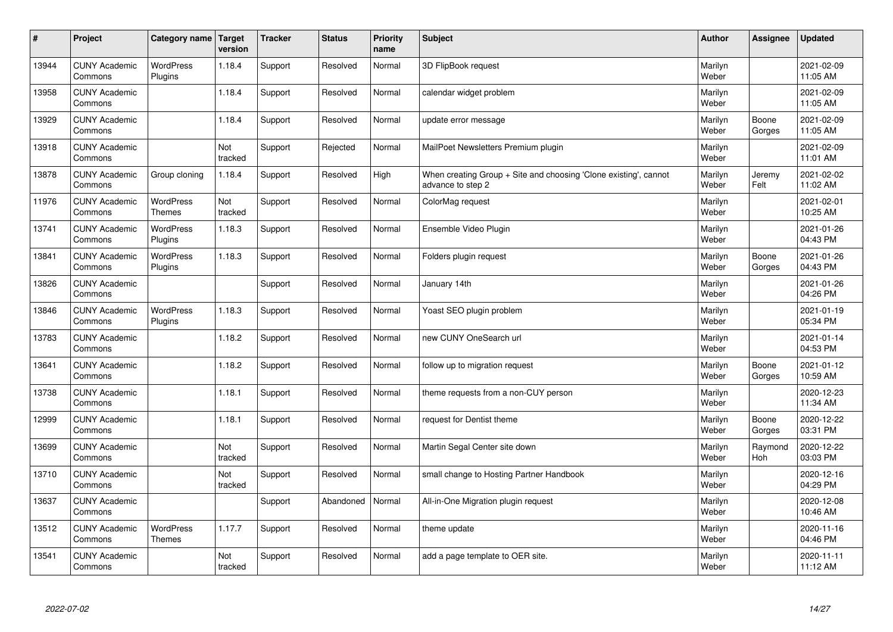| $\sharp$ | Project                         | Category name   Target            | version        | <b>Tracker</b> | <b>Status</b> | <b>Priority</b><br>name | <b>Subject</b>                                                                        | <b>Author</b>    | <b>Assignee</b>       | <b>Updated</b>         |
|----------|---------------------------------|-----------------------------------|----------------|----------------|---------------|-------------------------|---------------------------------------------------------------------------------------|------------------|-----------------------|------------------------|
| 13944    | <b>CUNY Academic</b><br>Commons | <b>WordPress</b><br>Plugins       | 1.18.4         | Support        | Resolved      | Normal                  | 3D FlipBook request                                                                   | Marilyn<br>Weber |                       | 2021-02-09<br>11:05 AM |
| 13958    | <b>CUNY Academic</b><br>Commons |                                   | 1.18.4         | Support        | Resolved      | Normal                  | calendar widget problem                                                               | Marilyn<br>Weber |                       | 2021-02-09<br>11:05 AM |
| 13929    | <b>CUNY Academic</b><br>Commons |                                   | 1.18.4         | Support        | Resolved      | Normal                  | update error message                                                                  | Marilyn<br>Weber | Boone<br>Gorges       | 2021-02-09<br>11:05 AM |
| 13918    | <b>CUNY Academic</b><br>Commons |                                   | Not<br>tracked | Support        | Rejected      | Normal                  | MailPoet Newsletters Premium plugin                                                   | Marilyn<br>Weber |                       | 2021-02-09<br>11:01 AM |
| 13878    | <b>CUNY Academic</b><br>Commons | Group cloning                     | 1.18.4         | Support        | Resolved      | High                    | When creating Group + Site and choosing 'Clone existing', cannot<br>advance to step 2 | Marilyn<br>Weber | Jeremy<br>Felt        | 2021-02-02<br>11:02 AM |
| 11976    | <b>CUNY Academic</b><br>Commons | <b>WordPress</b><br><b>Themes</b> | Not<br>tracked | Support        | Resolved      | Normal                  | ColorMag request                                                                      | Marilyn<br>Weber |                       | 2021-02-01<br>10:25 AM |
| 13741    | <b>CUNY Academic</b><br>Commons | <b>WordPress</b><br>Plugins       | 1.18.3         | Support        | Resolved      | Normal                  | Ensemble Video Plugin                                                                 | Marilyn<br>Weber |                       | 2021-01-26<br>04:43 PM |
| 13841    | <b>CUNY Academic</b><br>Commons | WordPress<br>Plugins              | 1.18.3         | Support        | Resolved      | Normal                  | Folders plugin request                                                                | Marilyn<br>Weber | Boone<br>Gorges       | 2021-01-26<br>04:43 PM |
| 13826    | <b>CUNY Academic</b><br>Commons |                                   |                | Support        | Resolved      | Normal                  | January 14th                                                                          | Marilyn<br>Weber |                       | 2021-01-26<br>04:26 PM |
| 13846    | <b>CUNY Academic</b><br>Commons | WordPress<br>Plugins              | 1.18.3         | Support        | Resolved      | Normal                  | Yoast SEO plugin problem                                                              | Marilyn<br>Weber |                       | 2021-01-19<br>05:34 PM |
| 13783    | <b>CUNY Academic</b><br>Commons |                                   | 1.18.2         | Support        | Resolved      | Normal                  | new CUNY OneSearch url                                                                | Marilyn<br>Weber |                       | 2021-01-14<br>04:53 PM |
| 13641    | <b>CUNY Academic</b><br>Commons |                                   | 1.18.2         | Support        | Resolved      | Normal                  | follow up to migration request                                                        | Marilyn<br>Weber | Boone<br>Gorges       | 2021-01-12<br>10:59 AM |
| 13738    | <b>CUNY Academic</b><br>Commons |                                   | 1.18.1         | Support        | Resolved      | Normal                  | theme requests from a non-CUY person                                                  | Marilyn<br>Weber |                       | 2020-12-23<br>11:34 AM |
| 12999    | <b>CUNY Academic</b><br>Commons |                                   | 1.18.1         | Support        | Resolved      | Normal                  | request for Dentist theme                                                             | Marilyn<br>Weber | Boone<br>Gorges       | 2020-12-22<br>03:31 PM |
| 13699    | <b>CUNY Academic</b><br>Commons |                                   | Not<br>tracked | Support        | Resolved      | Normal                  | Martin Segal Center site down                                                         | Marilyn<br>Weber | Raymond<br><b>Hoh</b> | 2020-12-22<br>03:03 PM |
| 13710    | <b>CUNY Academic</b><br>Commons |                                   | Not<br>tracked | Support        | Resolved      | Normal                  | small change to Hosting Partner Handbook                                              | Marilyn<br>Weber |                       | 2020-12-16<br>04:29 PM |
| 13637    | <b>CUNY Academic</b><br>Commons |                                   |                | Support        | Abandoned     | Normal                  | All-in-One Migration plugin request                                                   | Marilyn<br>Weber |                       | 2020-12-08<br>10:46 AM |
| 13512    | <b>CUNY Academic</b><br>Commons | <b>WordPress</b><br><b>Themes</b> | 1.17.7         | Support        | Resolved      | Normal                  | theme update                                                                          | Marilyn<br>Weber |                       | 2020-11-16<br>04:46 PM |
| 13541    | <b>CUNY Academic</b><br>Commons |                                   | Not<br>tracked | Support        | Resolved      | Normal                  | add a page template to OER site.                                                      | Marilyn<br>Weber |                       | 2020-11-11<br>11:12 AM |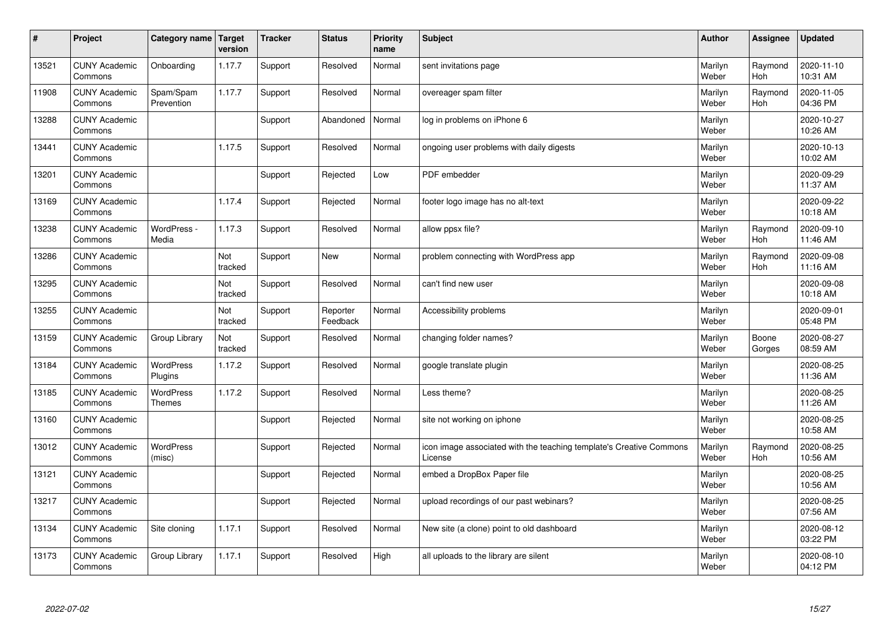| $\sharp$ | Project                         | Category name                     | Target<br>version | <b>Tracker</b> | <b>Status</b>        | <b>Priority</b><br>name | <b>Subject</b>                                                                 | <b>Author</b>    | Assignee              | Updated                |
|----------|---------------------------------|-----------------------------------|-------------------|----------------|----------------------|-------------------------|--------------------------------------------------------------------------------|------------------|-----------------------|------------------------|
| 13521    | <b>CUNY Academic</b><br>Commons | Onboarding                        | 1.17.7            | Support        | Resolved             | Normal                  | sent invitations page                                                          | Marilyn<br>Weber | Raymond<br><b>Hoh</b> | 2020-11-10<br>10:31 AM |
| 11908    | <b>CUNY Academic</b><br>Commons | Spam/Spam<br>Prevention           | 1.17.7            | Support        | Resolved             | Normal                  | overeager spam filter                                                          | Marilyn<br>Weber | Raymond<br>Hoh        | 2020-11-05<br>04:36 PM |
| 13288    | <b>CUNY Academic</b><br>Commons |                                   |                   | Support        | Abandoned            | Normal                  | log in problems on iPhone 6                                                    | Marilyn<br>Weber |                       | 2020-10-27<br>10:26 AM |
| 13441    | <b>CUNY Academic</b><br>Commons |                                   | 1.17.5            | Support        | Resolved             | Normal                  | ongoing user problems with daily digests                                       | Marilyn<br>Weber |                       | 2020-10-13<br>10:02 AM |
| 13201    | <b>CUNY Academic</b><br>Commons |                                   |                   | Support        | Rejected             | Low                     | PDF embedder                                                                   | Marilyn<br>Weber |                       | 2020-09-29<br>11:37 AM |
| 13169    | <b>CUNY Academic</b><br>Commons |                                   | 1.17.4            | Support        | Rejected             | Normal                  | footer logo image has no alt-text                                              | Marilyn<br>Weber |                       | 2020-09-22<br>10:18 AM |
| 13238    | <b>CUNY Academic</b><br>Commons | WordPress -<br>Media              | 1.17.3            | Support        | Resolved             | Normal                  | allow ppsx file?                                                               | Marilyn<br>Weber | Raymond<br>Hoh        | 2020-09-10<br>11:46 AM |
| 13286    | <b>CUNY Academic</b><br>Commons |                                   | Not<br>tracked    | Support        | <b>New</b>           | Normal                  | problem connecting with WordPress app                                          | Marilyn<br>Weber | Raymond<br>Hoh        | 2020-09-08<br>11:16 AM |
| 13295    | <b>CUNY Academic</b><br>Commons |                                   | Not<br>tracked    | Support        | Resolved             | Normal                  | can't find new user                                                            | Marilyn<br>Weber |                       | 2020-09-08<br>10:18 AM |
| 13255    | <b>CUNY Academic</b><br>Commons |                                   | Not<br>tracked    | Support        | Reporter<br>Feedback | Normal                  | Accessibility problems                                                         | Marilyn<br>Weber |                       | 2020-09-01<br>05:48 PM |
| 13159    | <b>CUNY Academic</b><br>Commons | Group Library                     | Not<br>tracked    | Support        | Resolved             | Normal                  | changing folder names?                                                         | Marilyn<br>Weber | Boone<br>Gorges       | 2020-08-27<br>08:59 AM |
| 13184    | <b>CUNY Academic</b><br>Commons | <b>WordPress</b><br>Plugins       | 1.17.2            | Support        | Resolved             | Normal                  | google translate plugin                                                        | Marilyn<br>Weber |                       | 2020-08-25<br>11:36 AM |
| 13185    | <b>CUNY Academic</b><br>Commons | <b>WordPress</b><br><b>Themes</b> | 1.17.2            | Support        | Resolved             | Normal                  | Less theme?                                                                    | Marilyn<br>Weber |                       | 2020-08-25<br>11:26 AM |
| 13160    | <b>CUNY Academic</b><br>Commons |                                   |                   | Support        | Rejected             | Normal                  | site not working on iphone                                                     | Marilyn<br>Weber |                       | 2020-08-25<br>10:58 AM |
| 13012    | <b>CUNY Academic</b><br>Commons | <b>WordPress</b><br>(misc)        |                   | Support        | Rejected             | Normal                  | icon image associated with the teaching template's Creative Commons<br>License | Marilyn<br>Weber | Raymond<br>Hoh        | 2020-08-25<br>10:56 AM |
| 13121    | <b>CUNY Academic</b><br>Commons |                                   |                   | Support        | Rejected             | Normal                  | embed a DropBox Paper file                                                     | Marilyn<br>Weber |                       | 2020-08-25<br>10:56 AM |
| 13217    | <b>CUNY Academic</b><br>Commons |                                   |                   | Support        | Rejected             | Normal                  | upload recordings of our past webinars?                                        | Marilyn<br>Weber |                       | 2020-08-25<br>07:56 AM |
| 13134    | <b>CUNY Academic</b><br>Commons | Site cloning                      | 1.17.1            | Support        | Resolved             | Normal                  | New site (a clone) point to old dashboard                                      | Marilyn<br>Weber |                       | 2020-08-12<br>03:22 PM |
| 13173    | <b>CUNY Academic</b><br>Commons | Group Library                     | 1.17.1            | Support        | Resolved             | High                    | all uploads to the library are silent                                          | Marilyn<br>Weber |                       | 2020-08-10<br>04:12 PM |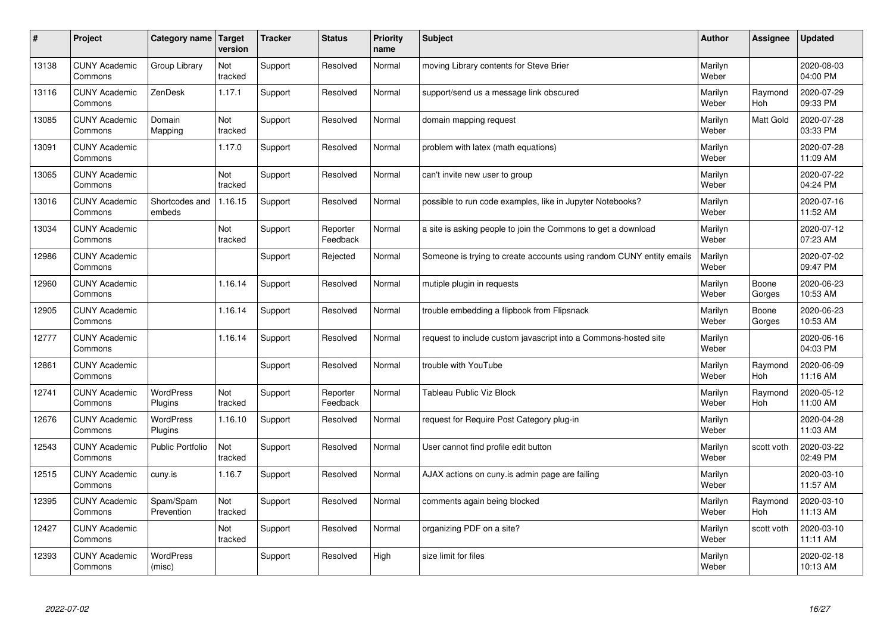| #     | Project                         | Category name               | Target<br>version | <b>Tracker</b> | <b>Status</b>        | <b>Priority</b><br>name | <b>Subject</b>                                                       | <b>Author</b>    | Assignee         | <b>Updated</b>         |
|-------|---------------------------------|-----------------------------|-------------------|----------------|----------------------|-------------------------|----------------------------------------------------------------------|------------------|------------------|------------------------|
| 13138 | <b>CUNY Academic</b><br>Commons | Group Library               | Not<br>tracked    | Support        | Resolved             | Normal                  | moving Library contents for Steve Brier                              | Marilyn<br>Weber |                  | 2020-08-03<br>04:00 PM |
| 13116 | <b>CUNY Academic</b><br>Commons | ZenDesk                     | 1.17.1            | Support        | Resolved             | Normal                  | support/send us a message link obscured                              | Marilyn<br>Weber | Raymond<br>Hoh   | 2020-07-29<br>09:33 PM |
| 13085 | <b>CUNY Academic</b><br>Commons | Domain<br>Mapping           | Not<br>tracked    | Support        | Resolved             | Normal                  | domain mapping request                                               | Marilyn<br>Weber | <b>Matt Gold</b> | 2020-07-28<br>03:33 PM |
| 13091 | <b>CUNY Academic</b><br>Commons |                             | 1.17.0            | Support        | Resolved             | Normal                  | problem with latex (math equations)                                  | Marilyn<br>Weber |                  | 2020-07-28<br>11:09 AM |
| 13065 | <b>CUNY Academic</b><br>Commons |                             | Not<br>tracked    | Support        | Resolved             | Normal                  | can't invite new user to group                                       | Marilyn<br>Weber |                  | 2020-07-22<br>04:24 PM |
| 13016 | <b>CUNY Academic</b><br>Commons | Shortcodes and<br>embeds    | 1.16.15           | Support        | Resolved             | Normal                  | possible to run code examples, like in Jupyter Notebooks?            | Marilyn<br>Weber |                  | 2020-07-16<br>11:52 AM |
| 13034 | <b>CUNY Academic</b><br>Commons |                             | Not<br>tracked    | Support        | Reporter<br>Feedback | Normal                  | a site is asking people to join the Commons to get a download        | Marilyn<br>Weber |                  | 2020-07-12<br>07:23 AM |
| 12986 | <b>CUNY Academic</b><br>Commons |                             |                   | Support        | Rejected             | Normal                  | Someone is trying to create accounts using random CUNY entity emails | Marilyn<br>Weber |                  | 2020-07-02<br>09:47 PM |
| 12960 | <b>CUNY Academic</b><br>Commons |                             | 1.16.14           | Support        | Resolved             | Normal                  | mutiple plugin in requests                                           | Marilyn<br>Weber | Boone<br>Gorges  | 2020-06-23<br>10:53 AM |
| 12905 | <b>CUNY Academic</b><br>Commons |                             | 1.16.14           | Support        | Resolved             | Normal                  | trouble embedding a flipbook from Flipsnack                          | Marilyn<br>Weber | Boone<br>Gorges  | 2020-06-23<br>10:53 AM |
| 12777 | <b>CUNY Academic</b><br>Commons |                             | 1.16.14           | Support        | Resolved             | Normal                  | request to include custom javascript into a Commons-hosted site      | Marilyn<br>Weber |                  | 2020-06-16<br>04:03 PM |
| 12861 | <b>CUNY Academic</b><br>Commons |                             |                   | Support        | Resolved             | Normal                  | trouble with YouTube                                                 | Marilyn<br>Weber | Raymond<br>Hoh   | 2020-06-09<br>11:16 AM |
| 12741 | <b>CUNY Academic</b><br>Commons | WordPress<br>Plugins        | Not<br>tracked    | Support        | Reporter<br>Feedback | Normal                  | <b>Tableau Public Viz Block</b>                                      | Marilyn<br>Weber | Raymond<br>Hoh   | 2020-05-12<br>11:00 AM |
| 12676 | <b>CUNY Academic</b><br>Commons | <b>WordPress</b><br>Plugins | 1.16.10           | Support        | Resolved             | Normal                  | request for Require Post Category plug-in                            | Marilyn<br>Weber |                  | 2020-04-28<br>11:03 AM |
| 12543 | <b>CUNY Academic</b><br>Commons | Public Portfolio            | Not<br>tracked    | Support        | Resolved             | Normal                  | User cannot find profile edit button                                 | Marilyn<br>Weber | scott voth       | 2020-03-22<br>02:49 PM |
| 12515 | <b>CUNY Academic</b><br>Commons | cuny.is                     | 1.16.7            | Support        | Resolved             | Normal                  | AJAX actions on cuny is admin page are failing                       | Marilyn<br>Weber |                  | 2020-03-10<br>11:57 AM |
| 12395 | <b>CUNY Academic</b><br>Commons | Spam/Spam<br>Prevention     | Not<br>tracked    | Support        | Resolved             | Normal                  | comments again being blocked                                         | Marilyn<br>Weber | Raymond<br>Hoh   | 2020-03-10<br>11:13 AM |
| 12427 | <b>CUNY Academic</b><br>Commons |                             | Not<br>tracked    | Support        | Resolved             | Normal                  | organizing PDF on a site?                                            | Marilyn<br>Weber | scott voth       | 2020-03-10<br>11:11 AM |
| 12393 | <b>CUNY Academic</b><br>Commons | WordPress<br>(misc)         |                   | Support        | Resolved             | High                    | size limit for files                                                 | Marilyn<br>Weber |                  | 2020-02-18<br>10:13 AM |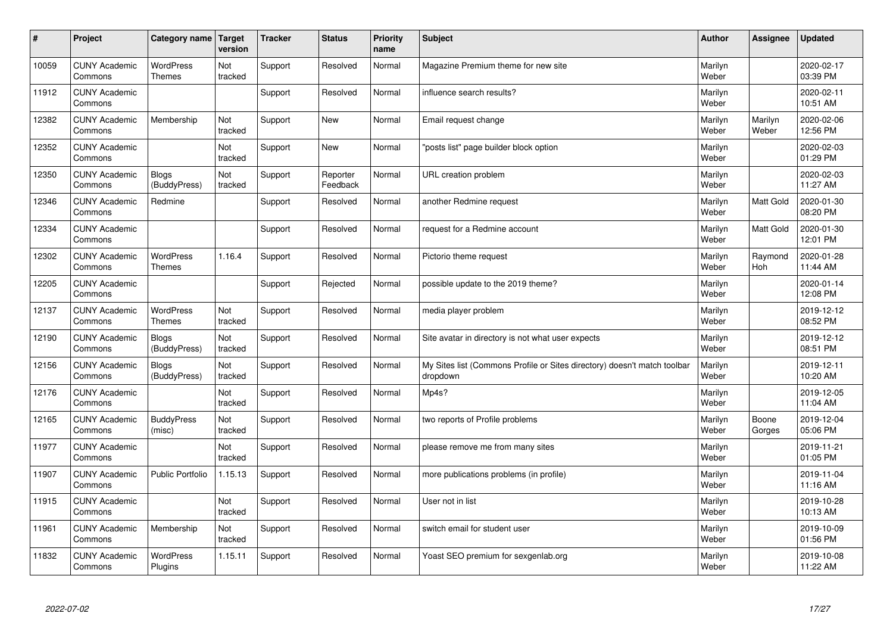| #     | Project                         | Category name                     | Target<br>version | <b>Tracker</b> | <b>Status</b>        | <b>Priority</b><br>name | <b>Subject</b>                                                                       | <b>Author</b>    | Assignee         | Updated                |
|-------|---------------------------------|-----------------------------------|-------------------|----------------|----------------------|-------------------------|--------------------------------------------------------------------------------------|------------------|------------------|------------------------|
| 10059 | <b>CUNY Academic</b><br>Commons | <b>WordPress</b><br><b>Themes</b> | Not<br>tracked    | Support        | Resolved             | Normal                  | Magazine Premium theme for new site                                                  | Marilyn<br>Weber |                  | 2020-02-17<br>03:39 PM |
| 11912 | <b>CUNY Academic</b><br>Commons |                                   |                   | Support        | Resolved             | Normal                  | influence search results?                                                            | Marilyn<br>Weber |                  | 2020-02-11<br>10:51 AM |
| 12382 | <b>CUNY Academic</b><br>Commons | Membership                        | Not<br>tracked    | Support        | <b>New</b>           | Normal                  | Email request change                                                                 | Marilyn<br>Weber | Marilyn<br>Weber | 2020-02-06<br>12:56 PM |
| 12352 | <b>CUNY Academic</b><br>Commons |                                   | Not<br>tracked    | Support        | <b>New</b>           | Normal                  | 'posts list" page builder block option                                               | Marilyn<br>Weber |                  | 2020-02-03<br>01:29 PM |
| 12350 | <b>CUNY Academic</b><br>Commons | <b>Blogs</b><br>(BuddyPress)      | Not<br>tracked    | Support        | Reporter<br>Feedback | Normal                  | URL creation problem                                                                 | Marilyn<br>Weber |                  | 2020-02-03<br>11:27 AM |
| 12346 | <b>CUNY Academic</b><br>Commons | Redmine                           |                   | Support        | Resolved             | Normal                  | another Redmine request                                                              | Marilyn<br>Weber | Matt Gold        | 2020-01-30<br>08:20 PM |
| 12334 | <b>CUNY Academic</b><br>Commons |                                   |                   | Support        | Resolved             | Normal                  | request for a Redmine account                                                        | Marilyn<br>Weber | Matt Gold        | 2020-01-30<br>12:01 PM |
| 12302 | <b>CUNY Academic</b><br>Commons | <b>WordPress</b><br><b>Themes</b> | 1.16.4            | Support        | Resolved             | Normal                  | Pictorio theme request                                                               | Marilyn<br>Weber | Raymond<br>Hoh   | 2020-01-28<br>11:44 AM |
| 12205 | <b>CUNY Academic</b><br>Commons |                                   |                   | Support        | Rejected             | Normal                  | possible update to the 2019 theme?                                                   | Marilyn<br>Weber |                  | 2020-01-14<br>12:08 PM |
| 12137 | <b>CUNY Academic</b><br>Commons | WordPress<br><b>Themes</b>        | Not<br>tracked    | Support        | Resolved             | Normal                  | media player problem                                                                 | Marilyn<br>Weber |                  | 2019-12-12<br>08:52 PM |
| 12190 | <b>CUNY Academic</b><br>Commons | <b>Blogs</b><br>(BuddyPress)      | Not<br>tracked    | Support        | Resolved             | Normal                  | Site avatar in directory is not what user expects                                    | Marilyn<br>Weber |                  | 2019-12-12<br>08:51 PM |
| 12156 | <b>CUNY Academic</b><br>Commons | <b>Blogs</b><br>(BuddyPress)      | Not<br>tracked    | Support        | Resolved             | Normal                  | My Sites list (Commons Profile or Sites directory) doesn't match toolbar<br>dropdown | Marilyn<br>Weber |                  | 2019-12-11<br>10:20 AM |
| 12176 | <b>CUNY Academic</b><br>Commons |                                   | Not<br>tracked    | Support        | Resolved             | Normal                  | Mp4s?                                                                                | Marilyn<br>Weber |                  | 2019-12-05<br>11:04 AM |
| 12165 | <b>CUNY Academic</b><br>Commons | <b>BuddyPress</b><br>(misc)       | Not<br>tracked    | Support        | Resolved             | Normal                  | two reports of Profile problems                                                      | Marilyn<br>Weber | Boone<br>Gorges  | 2019-12-04<br>05:06 PM |
| 11977 | <b>CUNY Academic</b><br>Commons |                                   | Not<br>tracked    | Support        | Resolved             | Normal                  | please remove me from many sites                                                     | Marilyn<br>Weber |                  | 2019-11-21<br>01:05 PM |
| 11907 | <b>CUNY Academic</b><br>Commons | <b>Public Portfolio</b>           | 1.15.13           | Support        | Resolved             | Normal                  | more publications problems (in profile)                                              | Marilyn<br>Weber |                  | 2019-11-04<br>11:16 AM |
| 11915 | <b>CUNY Academic</b><br>Commons |                                   | Not<br>tracked    | Support        | Resolved             | Normal                  | User not in list                                                                     | Marilyn<br>Weber |                  | 2019-10-28<br>10:13 AM |
| 11961 | <b>CUNY Academic</b><br>Commons | Membership                        | Not<br>tracked    | Support        | Resolved             | Normal                  | switch email for student user                                                        | Marilyn<br>Weber |                  | 2019-10-09<br>01:56 PM |
| 11832 | <b>CUNY Academic</b><br>Commons | <b>WordPress</b><br>Plugins       | 1.15.11           | Support        | Resolved             | Normal                  | Yoast SEO premium for sexgenlab.org                                                  | Marilyn<br>Weber |                  | 2019-10-08<br>11:22 AM |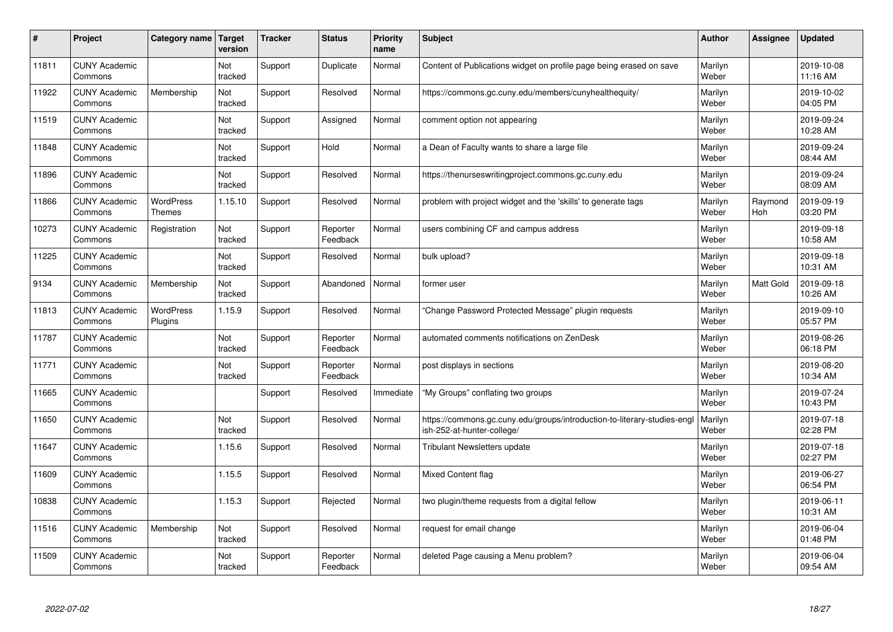| #     | Project                         | Category name                     | <b>Target</b><br>version | <b>Tracker</b> | <b>Status</b>        | <b>Priority</b><br>name | <b>Subject</b>                                                                                        | <b>Author</b>    | Assignee       | <b>Updated</b>         |
|-------|---------------------------------|-----------------------------------|--------------------------|----------------|----------------------|-------------------------|-------------------------------------------------------------------------------------------------------|------------------|----------------|------------------------|
| 11811 | <b>CUNY Academic</b><br>Commons |                                   | Not<br>tracked           | Support        | Duplicate            | Normal                  | Content of Publications widget on profile page being erased on save                                   | Marilyn<br>Weber |                | 2019-10-08<br>11:16 AM |
| 11922 | <b>CUNY Academic</b><br>Commons | Membership                        | Not<br>tracked           | Support        | Resolved             | Normal                  | https://commons.gc.cuny.edu/members/cunyhealthequity/                                                 | Marilyn<br>Weber |                | 2019-10-02<br>04:05 PM |
| 11519 | <b>CUNY Academic</b><br>Commons |                                   | Not<br>tracked           | Support        | Assigned             | Normal                  | comment option not appearing                                                                          | Marilyn<br>Weber |                | 2019-09-24<br>10:28 AM |
| 11848 | <b>CUNY Academic</b><br>Commons |                                   | Not<br>tracked           | Support        | Hold                 | Normal                  | a Dean of Faculty wants to share a large file                                                         | Marilyn<br>Weber |                | 2019-09-24<br>08:44 AM |
| 11896 | <b>CUNY Academic</b><br>Commons |                                   | <b>Not</b><br>tracked    | Support        | Resolved             | Normal                  | https://thenurseswritingproject.commons.gc.cuny.edu                                                   | Marilyn<br>Weber |                | 2019-09-24<br>08:09 AM |
| 11866 | <b>CUNY Academic</b><br>Commons | <b>WordPress</b><br><b>Themes</b> | 1.15.10                  | Support        | Resolved             | Normal                  | problem with project widget and the 'skills' to generate tags                                         | Marilyn<br>Weber | Raymond<br>Hoh | 2019-09-19<br>03:20 PM |
| 10273 | <b>CUNY Academic</b><br>Commons | Registration                      | Not<br>tracked           | Support        | Reporter<br>Feedback | Normal                  | users combining CF and campus address                                                                 | Marilyn<br>Weber |                | 2019-09-18<br>10:58 AM |
| 11225 | <b>CUNY Academic</b><br>Commons |                                   | Not<br>tracked           | Support        | Resolved             | Normal                  | bulk upload?                                                                                          | Marilyn<br>Weber |                | 2019-09-18<br>10:31 AM |
| 9134  | <b>CUNY Academic</b><br>Commons | Membership                        | Not<br>tracked           | Support        | Abandoned            | Normal                  | former user                                                                                           | Marilyn<br>Weber | Matt Gold      | 2019-09-18<br>10:26 AM |
| 11813 | <b>CUNY Academic</b><br>Commons | WordPress<br>Plugins              | 1.15.9                   | Support        | Resolved             | Normal                  | Change Password Protected Message" plugin requests                                                    | Marilyn<br>Weber |                | 2019-09-10<br>05:57 PM |
| 11787 | <b>CUNY Academic</b><br>Commons |                                   | Not<br>tracked           | Support        | Reporter<br>Feedback | Normal                  | automated comments notifications on ZenDesk                                                           | Marilyn<br>Weber |                | 2019-08-26<br>06:18 PM |
| 11771 | <b>CUNY Academic</b><br>Commons |                                   | Not<br>tracked           | Support        | Reporter<br>Feedback | Normal                  | post displays in sections                                                                             | Marilyn<br>Weber |                | 2019-08-20<br>10:34 AM |
| 11665 | <b>CUNY Academic</b><br>Commons |                                   |                          | Support        | Resolved             | Immediate               | 'My Groups" conflating two groups                                                                     | Marilyn<br>Weber |                | 2019-07-24<br>10:43 PM |
| 11650 | <b>CUNY Academic</b><br>Commons |                                   | Not<br>tracked           | Support        | Resolved             | Normal                  | https://commons.gc.cuny.edu/groups/introduction-to-literary-studies-eng<br>ish-252-at-hunter-college/ | Marilyn<br>Weber |                | 2019-07-18<br>02:28 PM |
| 11647 | <b>CUNY Academic</b><br>Commons |                                   | 1.15.6                   | Support        | Resolved             | Normal                  | <b>Tribulant Newsletters update</b>                                                                   | Marilyn<br>Weber |                | 2019-07-18<br>02:27 PM |
| 11609 | <b>CUNY Academic</b><br>Commons |                                   | 1.15.5                   | Support        | Resolved             | Normal                  | <b>Mixed Content flag</b>                                                                             | Marilyn<br>Weber |                | 2019-06-27<br>06:54 PM |
| 10838 | <b>CUNY Academic</b><br>Commons |                                   | 1.15.3                   | Support        | Rejected             | Normal                  | two plugin/theme requests from a digital fellow                                                       | Marilyn<br>Weber |                | 2019-06-11<br>10:31 AM |
| 11516 | <b>CUNY Academic</b><br>Commons | Membership                        | Not<br>tracked           | Support        | Resolved             | Normal                  | request for email change                                                                              | Marilyn<br>Weber |                | 2019-06-04<br>01:48 PM |
| 11509 | <b>CUNY Academic</b><br>Commons |                                   | Not<br>tracked           | Support        | Reporter<br>Feedback | Normal                  | deleted Page causing a Menu problem?                                                                  | Marilyn<br>Weber |                | 2019-06-04<br>09:54 AM |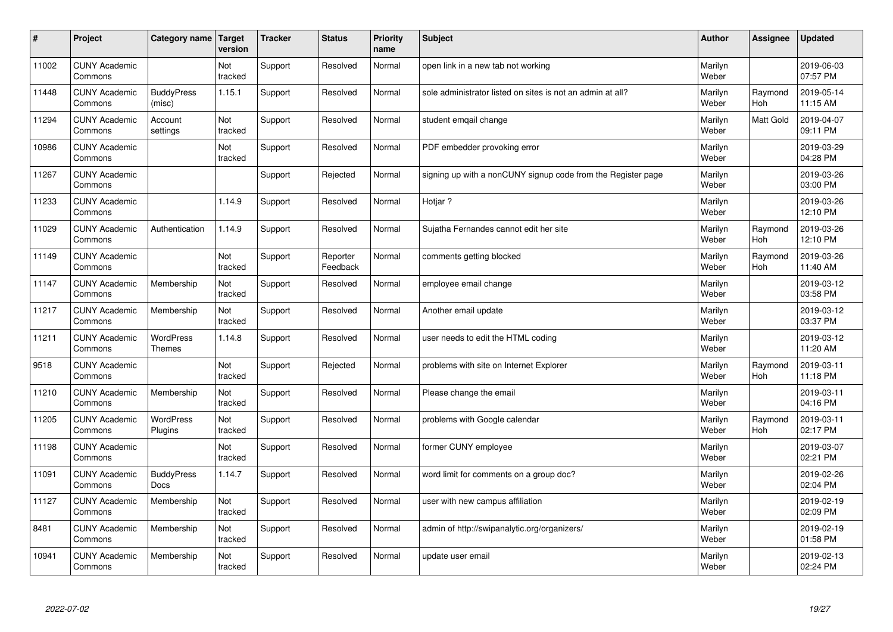| $\sharp$ | Project                         | Category name               | Target<br>version | <b>Tracker</b> | <b>Status</b>        | <b>Priority</b><br>name | <b>Subject</b>                                               | <b>Author</b>    | Assignee         | Updated                |
|----------|---------------------------------|-----------------------------|-------------------|----------------|----------------------|-------------------------|--------------------------------------------------------------|------------------|------------------|------------------------|
| 11002    | <b>CUNY Academic</b><br>Commons |                             | Not<br>tracked    | Support        | Resolved             | Normal                  | open link in a new tab not working                           | Marilyn<br>Weber |                  | 2019-06-03<br>07:57 PM |
| 11448    | <b>CUNY Academic</b><br>Commons | <b>BuddyPress</b><br>(misc) | 1.15.1            | Support        | Resolved             | Normal                  | sole administrator listed on sites is not an admin at all?   | Marilyn<br>Weber | Raymond<br>Hoh   | 2019-05-14<br>11:15 AM |
| 11294    | <b>CUNY Academic</b><br>Commons | Account<br>settings         | Not<br>tracked    | Support        | Resolved             | Normal                  | student emgail change                                        | Marilyn<br>Weber | <b>Matt Gold</b> | 2019-04-07<br>09:11 PM |
| 10986    | <b>CUNY Academic</b><br>Commons |                             | Not<br>tracked    | Support        | Resolved             | Normal                  | PDF embedder provoking error                                 | Marilyn<br>Weber |                  | 2019-03-29<br>04:28 PM |
| 11267    | <b>CUNY Academic</b><br>Commons |                             |                   | Support        | Rejected             | Normal                  | signing up with a nonCUNY signup code from the Register page | Marilyn<br>Weber |                  | 2019-03-26<br>03:00 PM |
| 11233    | <b>CUNY Academic</b><br>Commons |                             | 1.14.9            | Support        | Resolved             | Normal                  | Hotjar ?                                                     | Marilyn<br>Weber |                  | 2019-03-26<br>12:10 PM |
| 11029    | <b>CUNY Academic</b><br>Commons | Authentication              | 1.14.9            | Support        | Resolved             | Normal                  | Sujatha Fernandes cannot edit her site                       | Marilyn<br>Weber | Raymond<br>Hoh   | 2019-03-26<br>12:10 PM |
| 11149    | <b>CUNY Academic</b><br>Commons |                             | Not<br>tracked    | Support        | Reporter<br>Feedback | Normal                  | comments getting blocked                                     | Marilyn<br>Weber | Raymond<br>Hoh   | 2019-03-26<br>11:40 AM |
| 11147    | <b>CUNY Academic</b><br>Commons | Membership                  | Not<br>tracked    | Support        | Resolved             | Normal                  | employee email change                                        | Marilyn<br>Weber |                  | 2019-03-12<br>03:58 PM |
| 11217    | <b>CUNY Academic</b><br>Commons | Membership                  | Not<br>tracked    | Support        | Resolved             | Normal                  | Another email update                                         | Marilyn<br>Weber |                  | 2019-03-12<br>03:37 PM |
| 11211    | <b>CUNY Academic</b><br>Commons | WordPress<br><b>Themes</b>  | 1.14.8            | Support        | Resolved             | Normal                  | user needs to edit the HTML coding                           | Marilyn<br>Weber |                  | 2019-03-12<br>11:20 AM |
| 9518     | <b>CUNY Academic</b><br>Commons |                             | Not<br>tracked    | Support        | Rejected             | Normal                  | problems with site on Internet Explorer                      | Marilyn<br>Weber | Raymond<br>Hoh   | 2019-03-11<br>11:18 PM |
| 11210    | <b>CUNY Academic</b><br>Commons | Membership                  | Not<br>tracked    | Support        | Resolved             | Normal                  | Please change the email                                      | Marilyn<br>Weber |                  | 2019-03-11<br>04:16 PM |
| 11205    | <b>CUNY Academic</b><br>Commons | WordPress<br>Plugins        | Not<br>tracked    | Support        | Resolved             | Normal                  | problems with Google calendar                                | Marilyn<br>Weber | Raymond<br>Hoh   | 2019-03-11<br>02:17 PM |
| 11198    | <b>CUNY Academic</b><br>Commons |                             | Not<br>tracked    | Support        | Resolved             | Normal                  | former CUNY employee                                         | Marilyn<br>Weber |                  | 2019-03-07<br>02:21 PM |
| 11091    | <b>CUNY Academic</b><br>Commons | <b>BuddyPress</b><br>Docs   | 1.14.7            | Support        | Resolved             | Normal                  | word limit for comments on a group doc?                      | Marilyn<br>Weber |                  | 2019-02-26<br>02:04 PM |
| 11127    | <b>CUNY Academic</b><br>Commons | Membership                  | Not<br>tracked    | Support        | Resolved             | Normal                  | user with new campus affiliation                             | Marilyn<br>Weber |                  | 2019-02-19<br>02:09 PM |
| 8481     | <b>CUNY Academic</b><br>Commons | Membership                  | Not<br>tracked    | Support        | Resolved             | Normal                  | admin of http://swipanalytic.org/organizers/                 | Marilyn<br>Weber |                  | 2019-02-19<br>01:58 PM |
| 10941    | <b>CUNY Academic</b><br>Commons | Membership                  | Not<br>tracked    | Support        | Resolved             | Normal                  | update user email                                            | Marilyn<br>Weber |                  | 2019-02-13<br>02:24 PM |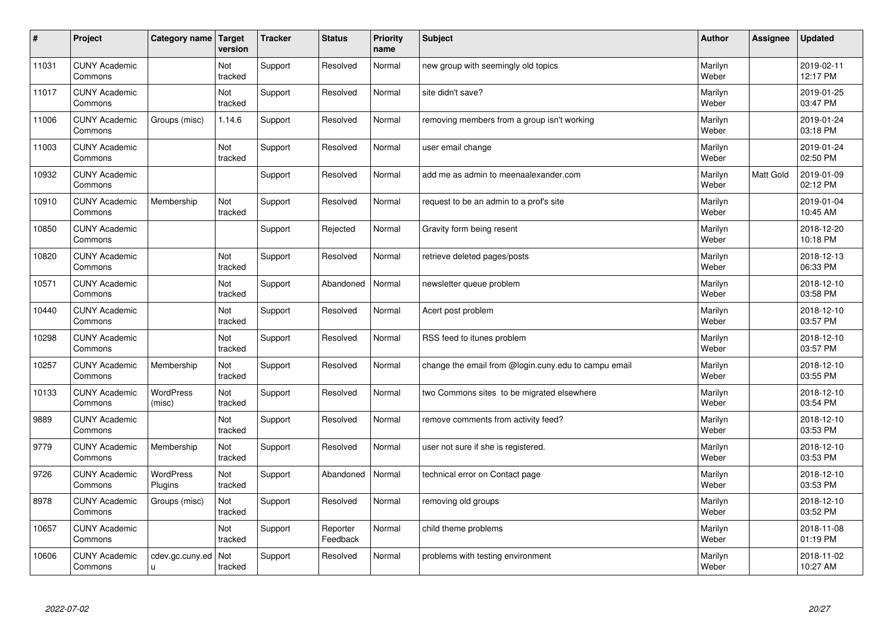| $\sharp$ | Project                         | Category name   Target      | version        | <b>Tracker</b> | <b>Status</b>        | <b>Priority</b><br>name | <b>Subject</b>                                       | <b>Author</b>    | Assignee         | <b>Updated</b>         |
|----------|---------------------------------|-----------------------------|----------------|----------------|----------------------|-------------------------|------------------------------------------------------|------------------|------------------|------------------------|
| 11031    | <b>CUNY Academic</b><br>Commons |                             | Not<br>tracked | Support        | Resolved             | Normal                  | new group with seemingly old topics                  | Marilyn<br>Weber |                  | 2019-02-11<br>12:17 PM |
| 11017    | <b>CUNY Academic</b><br>Commons |                             | Not<br>tracked | Support        | Resolved             | Normal                  | site didn't save?                                    | Marilyn<br>Weber |                  | 2019-01-25<br>03:47 PM |
| 11006    | <b>CUNY Academic</b><br>Commons | Groups (misc)               | 1.14.6         | Support        | Resolved             | Normal                  | removing members from a group isn't working          | Marilyn<br>Weber |                  | 2019-01-24<br>03:18 PM |
| 11003    | <b>CUNY Academic</b><br>Commons |                             | Not<br>tracked | Support        | Resolved             | Normal                  | user email change                                    | Marilyn<br>Weber |                  | 2019-01-24<br>02:50 PM |
| 10932    | <b>CUNY Academic</b><br>Commons |                             |                | Support        | Resolved             | Normal                  | add me as admin to meenaalexander.com                | Marilyn<br>Weber | <b>Matt Gold</b> | 2019-01-09<br>02:12 PM |
| 10910    | <b>CUNY Academic</b><br>Commons | Membership                  | Not<br>tracked | Support        | Resolved             | Normal                  | request to be an admin to a prof's site              | Marilyn<br>Weber |                  | 2019-01-04<br>10:45 AM |
| 10850    | <b>CUNY Academic</b><br>Commons |                             |                | Support        | Rejected             | Normal                  | Gravity form being resent                            | Marilyn<br>Weber |                  | 2018-12-20<br>10:18 PM |
| 10820    | <b>CUNY Academic</b><br>Commons |                             | Not<br>tracked | Support        | Resolved             | Normal                  | retrieve deleted pages/posts                         | Marilyn<br>Weber |                  | 2018-12-13<br>06:33 PM |
| 10571    | <b>CUNY Academic</b><br>Commons |                             | Not<br>tracked | Support        | Abandoned            | Normal                  | newsletter queue problem                             | Marilyn<br>Weber |                  | 2018-12-10<br>03:58 PM |
| 10440    | <b>CUNY Academic</b><br>Commons |                             | Not<br>tracked | Support        | Resolved             | Normal                  | Acert post problem                                   | Marilyn<br>Weber |                  | 2018-12-10<br>03:57 PM |
| 10298    | <b>CUNY Academic</b><br>Commons |                             | Not<br>tracked | Support        | Resolved             | Normal                  | RSS feed to itunes problem                           | Marilyn<br>Weber |                  | 2018-12-10<br>03:57 PM |
| 10257    | <b>CUNY Academic</b><br>Commons | Membership                  | Not<br>tracked | Support        | Resolved             | Normal                  | change the email from @login.cuny.edu to campu email | Marilyn<br>Weber |                  | 2018-12-10<br>03:55 PM |
| 10133    | <b>CUNY Academic</b><br>Commons | <b>WordPress</b><br>(misc)  | Not<br>tracked | Support        | Resolved             | Normal                  | two Commons sites to be migrated elsewhere           | Marilyn<br>Weber |                  | 2018-12-10<br>03:54 PM |
| 9889     | <b>CUNY Academic</b><br>Commons |                             | Not<br>tracked | Support        | Resolved             | Normal                  | remove comments from activity feed?                  | Marilyn<br>Weber |                  | 2018-12-10<br>03:53 PM |
| 9779     | <b>CUNY Academic</b><br>Commons | Membership                  | Not<br>tracked | Support        | Resolved             | Normal                  | user not sure if she is registered.                  | Marilyn<br>Weber |                  | 2018-12-10<br>03:53 PM |
| 9726     | <b>CUNY Academic</b><br>Commons | <b>WordPress</b><br>Plugins | Not<br>tracked | Support        | Abandoned            | Normal                  | technical error on Contact page                      | Marilyn<br>Weber |                  | 2018-12-10<br>03:53 PM |
| 8978     | <b>CUNY Academic</b><br>Commons | Groups (misc)               | Not<br>tracked | Support        | Resolved             | Normal                  | removing old groups                                  | Marilyn<br>Weber |                  | 2018-12-10<br>03:52 PM |
| 10657    | <b>CUNY Academic</b><br>Commons |                             | Not<br>tracked | Support        | Reporter<br>Feedback | Normal                  | child theme problems                                 | Marilyn<br>Weber |                  | 2018-11-08<br>01:19 PM |
| 10606    | <b>CUNY Academic</b><br>Commons | cdev.gc.cuny.ed<br>u        | Not<br>tracked | Support        | Resolved             | Normal                  | problems with testing environment                    | Marilyn<br>Weber |                  | 2018-11-02<br>10:27 AM |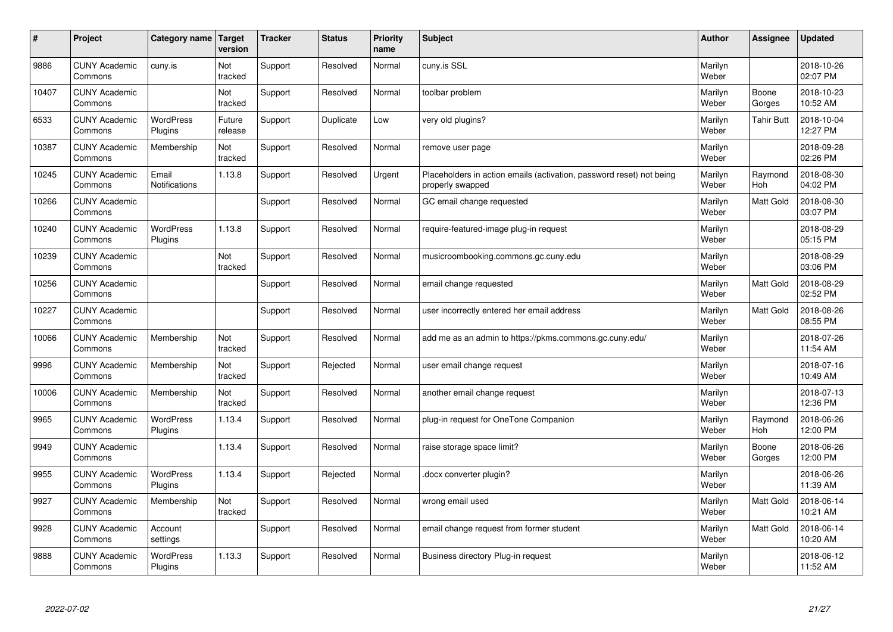| #     | Project                         | Category name   Target        | version           | <b>Tracker</b> | <b>Status</b> | <b>Priority</b><br>name | <b>Subject</b>                                                                           | <b>Author</b>    | Assignee              | <b>Updated</b>         |
|-------|---------------------------------|-------------------------------|-------------------|----------------|---------------|-------------------------|------------------------------------------------------------------------------------------|------------------|-----------------------|------------------------|
| 9886  | <b>CUNY Academic</b><br>Commons | cuny.is                       | Not<br>tracked    | Support        | Resolved      | Normal                  | cuny.is SSL                                                                              | Marilyn<br>Weber |                       | 2018-10-26<br>02:07 PM |
| 10407 | <b>CUNY Academic</b><br>Commons |                               | Not<br>tracked    | Support        | Resolved      | Normal                  | toolbar problem                                                                          | Marilyn<br>Weber | Boone<br>Gorges       | 2018-10-23<br>10:52 AM |
| 6533  | <b>CUNY Academic</b><br>Commons | <b>WordPress</b><br>Plugins   | Future<br>release | Support        | Duplicate     | Low                     | very old plugins?                                                                        | Marilyn<br>Weber | <b>Tahir Butt</b>     | 2018-10-04<br>12:27 PM |
| 10387 | <b>CUNY Academic</b><br>Commons | Membership                    | Not<br>tracked    | Support        | Resolved      | Normal                  | remove user page                                                                         | Marilyn<br>Weber |                       | 2018-09-28<br>02:26 PM |
| 10245 | <b>CUNY Academic</b><br>Commons | Email<br><b>Notifications</b> | 1.13.8            | Support        | Resolved      | Urgent                  | Placeholders in action emails (activation, password reset) not being<br>properly swapped | Marilyn<br>Weber | Raymond<br>Hoh        | 2018-08-30<br>04:02 PM |
| 10266 | <b>CUNY Academic</b><br>Commons |                               |                   | Support        | Resolved      | Normal                  | GC email change requested                                                                | Marilyn<br>Weber | Matt Gold             | 2018-08-30<br>03:07 PM |
| 10240 | <b>CUNY Academic</b><br>Commons | <b>WordPress</b><br>Plugins   | 1.13.8            | Support        | Resolved      | Normal                  | require-featured-image plug-in request                                                   | Marilyn<br>Weber |                       | 2018-08-29<br>05:15 PM |
| 10239 | <b>CUNY Academic</b><br>Commons |                               | Not<br>tracked    | Support        | Resolved      | Normal                  | musicroombooking.commons.gc.cuny.edu                                                     | Marilyn<br>Weber |                       | 2018-08-29<br>03:06 PM |
| 10256 | <b>CUNY Academic</b><br>Commons |                               |                   | Support        | Resolved      | Normal                  | email change requested                                                                   | Marilyn<br>Weber | Matt Gold             | 2018-08-29<br>02:52 PM |
| 10227 | <b>CUNY Academic</b><br>Commons |                               |                   | Support        | Resolved      | Normal                  | user incorrectly entered her email address                                               | Marilyn<br>Weber | Matt Gold             | 2018-08-26<br>08:55 PM |
| 10066 | <b>CUNY Academic</b><br>Commons | Membership                    | Not<br>tracked    | Support        | Resolved      | Normal                  | add me as an admin to https://pkms.commons.gc.cuny.edu/                                  | Marilyn<br>Weber |                       | 2018-07-26<br>11:54 AM |
| 9996  | <b>CUNY Academic</b><br>Commons | Membership                    | Not<br>tracked    | Support        | Rejected      | Normal                  | user email change request                                                                | Marilyn<br>Weber |                       | 2018-07-16<br>10:49 AM |
| 10006 | <b>CUNY Academic</b><br>Commons | Membership                    | Not<br>tracked    | Support        | Resolved      | Normal                  | another email change request                                                             | Marilyn<br>Weber |                       | 2018-07-13<br>12:36 PM |
| 9965  | <b>CUNY Academic</b><br>Commons | WordPress<br>Plugins          | 1.13.4            | Support        | Resolved      | Normal                  | plug-in request for OneTone Companion                                                    | Marilyn<br>Weber | Raymond<br><b>Hoh</b> | 2018-06-26<br>12:00 PM |
| 9949  | <b>CUNY Academic</b><br>Commons |                               | 1.13.4            | Support        | Resolved      | Normal                  | raise storage space limit?                                                               | Marilyn<br>Weber | Boone<br>Gorges       | 2018-06-26<br>12:00 PM |
| 9955  | <b>CUNY Academic</b><br>Commons | WordPress<br>Plugins          | 1.13.4            | Support        | Rejected      | Normal                  | docx converter plugin?                                                                   | Marilyn<br>Weber |                       | 2018-06-26<br>11:39 AM |
| 9927  | <b>CUNY Academic</b><br>Commons | Membership                    | Not<br>tracked    | Support        | Resolved      | Normal                  | wrong email used                                                                         | Marilyn<br>Weber | Matt Gold             | 2018-06-14<br>10:21 AM |
| 9928  | <b>CUNY Academic</b><br>Commons | Account<br>settings           |                   | Support        | Resolved      | Normal                  | email change request from former student                                                 | Marilyn<br>Weber | Matt Gold             | 2018-06-14<br>10:20 AM |
| 9888  | <b>CUNY Academic</b><br>Commons | <b>WordPress</b><br>Plugins   | 1.13.3            | Support        | Resolved      | Normal                  | Business directory Plug-in request                                                       | Marilyn<br>Weber |                       | 2018-06-12<br>11:52 AM |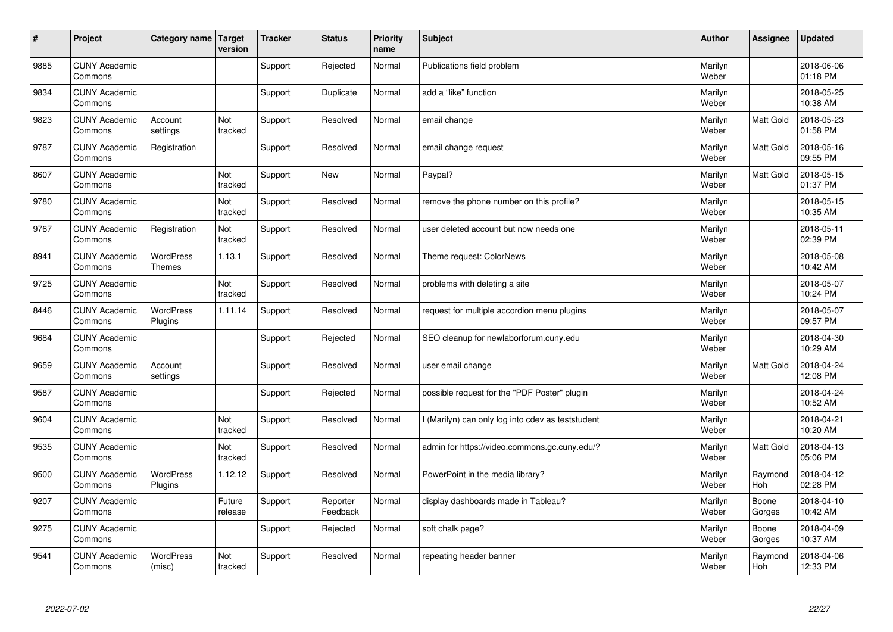| $\sharp$ | Project                         | Category name                     | <b>Target</b><br>version | <b>Tracker</b> | <b>Status</b>        | <b>Priority</b><br>name | <b>Subject</b>                                    | <b>Author</b>    | Assignee         | <b>Updated</b>         |
|----------|---------------------------------|-----------------------------------|--------------------------|----------------|----------------------|-------------------------|---------------------------------------------------|------------------|------------------|------------------------|
| 9885     | <b>CUNY Academic</b><br>Commons |                                   |                          | Support        | Rejected             | Normal                  | Publications field problem                        | Marilyn<br>Weber |                  | 2018-06-06<br>01:18 PM |
| 9834     | <b>CUNY Academic</b><br>Commons |                                   |                          | Support        | Duplicate            | Normal                  | add a "like" function                             | Marilyn<br>Weber |                  | 2018-05-25<br>10:38 AM |
| 9823     | <b>CUNY Academic</b><br>Commons | Account<br>settings               | Not<br>tracked           | Support        | Resolved             | Normal                  | email change                                      | Marilyn<br>Weber | Matt Gold        | 2018-05-23<br>01:58 PM |
| 9787     | <b>CUNY Academic</b><br>Commons | Registration                      |                          | Support        | Resolved             | Normal                  | email change request                              | Marilyn<br>Weber | <b>Matt Gold</b> | 2018-05-16<br>09:55 PM |
| 8607     | <b>CUNY Academic</b><br>Commons |                                   | Not<br>tracked           | Support        | <b>New</b>           | Normal                  | Paypal?                                           | Marilyn<br>Weber | <b>Matt Gold</b> | 2018-05-15<br>01:37 PM |
| 9780     | <b>CUNY Academic</b><br>Commons |                                   | Not<br>tracked           | Support        | Resolved             | Normal                  | remove the phone number on this profile?          | Marilyn<br>Weber |                  | 2018-05-15<br>10:35 AM |
| 9767     | <b>CUNY Academic</b><br>Commons | Registration                      | Not<br>tracked           | Support        | Resolved             | Normal                  | user deleted account but now needs one            | Marilyn<br>Weber |                  | 2018-05-11<br>02:39 PM |
| 8941     | <b>CUNY Academic</b><br>Commons | <b>WordPress</b><br><b>Themes</b> | 1.13.1                   | Support        | Resolved             | Normal                  | Theme request: ColorNews                          | Marilyn<br>Weber |                  | 2018-05-08<br>10:42 AM |
| 9725     | <b>CUNY Academic</b><br>Commons |                                   | Not<br>tracked           | Support        | Resolved             | Normal                  | problems with deleting a site                     | Marilyn<br>Weber |                  | 2018-05-07<br>10:24 PM |
| 8446     | <b>CUNY Academic</b><br>Commons | <b>WordPress</b><br>Plugins       | 1.11.14                  | Support        | Resolved             | Normal                  | request for multiple accordion menu plugins       | Marilyn<br>Weber |                  | 2018-05-07<br>09:57 PM |
| 9684     | <b>CUNY Academic</b><br>Commons |                                   |                          | Support        | Rejected             | Normal                  | SEO cleanup for newlaborforum.cuny.edu            | Marilyn<br>Weber |                  | 2018-04-30<br>10:29 AM |
| 9659     | <b>CUNY Academic</b><br>Commons | Account<br>settings               |                          | Support        | Resolved             | Normal                  | user email change                                 | Marilyn<br>Weber | <b>Matt Gold</b> | 2018-04-24<br>12:08 PM |
| 9587     | <b>CUNY Academic</b><br>Commons |                                   |                          | Support        | Rejected             | Normal                  | possible request for the "PDF Poster" plugin      | Marilyn<br>Weber |                  | 2018-04-24<br>10:52 AM |
| 9604     | <b>CUNY Academic</b><br>Commons |                                   | Not<br>tracked           | Support        | Resolved             | Normal                  | I (Marilyn) can only log into cdev as teststudent | Marilyn<br>Weber |                  | 2018-04-21<br>10:20 AM |
| 9535     | <b>CUNY Academic</b><br>Commons |                                   | Not<br>tracked           | Support        | Resolved             | Normal                  | admin for https://video.commons.gc.cuny.edu/?     | Marilyn<br>Weber | Matt Gold        | 2018-04-13<br>05:06 PM |
| 9500     | <b>CUNY Academic</b><br>Commons | <b>WordPress</b><br>Plugins       | 1.12.12                  | Support        | Resolved             | Normal                  | PowerPoint in the media library?                  | Marilyn<br>Weber | Raymond<br>Hoh   | 2018-04-12<br>02:28 PM |
| 9207     | <b>CUNY Academic</b><br>Commons |                                   | Future<br>release        | Support        | Reporter<br>Feedback | Normal                  | display dashboards made in Tableau?               | Marilyn<br>Weber | Boone<br>Gorges  | 2018-04-10<br>10:42 AM |
| 9275     | <b>CUNY Academic</b><br>Commons |                                   |                          | Support        | Rejected             | Normal                  | soft chalk page?                                  | Marilyn<br>Weber | Boone<br>Gorges  | 2018-04-09<br>10:37 AM |
| 9541     | <b>CUNY Academic</b><br>Commons | WordPress<br>(misc)               | Not<br>tracked           | Support        | Resolved             | Normal                  | repeating header banner                           | Marilyn<br>Weber | Raymond<br>Hoh   | 2018-04-06<br>12:33 PM |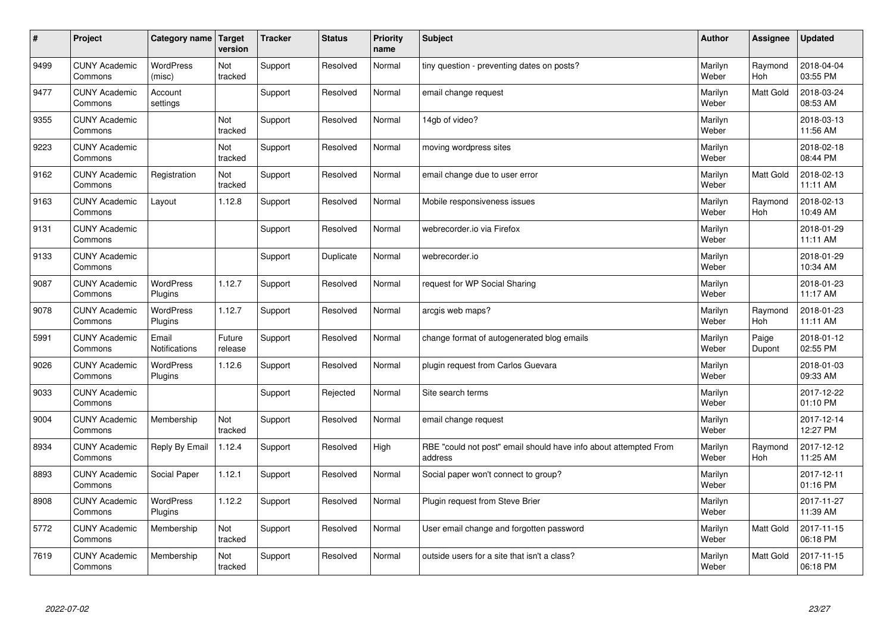| #    | Project                         | Category name   Target      | version           | <b>Tracker</b> | <b>Status</b> | <b>Priority</b><br>name | <b>Subject</b>                                                              | <b>Author</b>    | <b>Assignee</b>       | <b>Updated</b>         |
|------|---------------------------------|-----------------------------|-------------------|----------------|---------------|-------------------------|-----------------------------------------------------------------------------|------------------|-----------------------|------------------------|
| 9499 | <b>CUNY Academic</b><br>Commons | <b>WordPress</b><br>(misc)  | Not<br>tracked    | Support        | Resolved      | Normal                  | tiny question - preventing dates on posts?                                  | Marilyn<br>Weber | Raymond<br><b>Hoh</b> | 2018-04-04<br>03:55 PM |
| 9477 | <b>CUNY Academic</b><br>Commons | Account<br>settings         |                   | Support        | Resolved      | Normal                  | email change request                                                        | Marilyn<br>Weber | <b>Matt Gold</b>      | 2018-03-24<br>08:53 AM |
| 9355 | <b>CUNY Academic</b><br>Commons |                             | Not<br>tracked    | Support        | Resolved      | Normal                  | 14gb of video?                                                              | Marilyn<br>Weber |                       | 2018-03-13<br>11:56 AM |
| 9223 | <b>CUNY Academic</b><br>Commons |                             | Not<br>tracked    | Support        | Resolved      | Normal                  | moving wordpress sites                                                      | Marilyn<br>Weber |                       | 2018-02-18<br>08:44 PM |
| 9162 | <b>CUNY Academic</b><br>Commons | Registration                | Not<br>tracked    | Support        | Resolved      | Normal                  | email change due to user error                                              | Marilyn<br>Weber | <b>Matt Gold</b>      | 2018-02-13<br>11:11 AM |
| 9163 | <b>CUNY Academic</b><br>Commons | Layout                      | 1.12.8            | Support        | Resolved      | Normal                  | Mobile responsiveness issues                                                | Marilyn<br>Weber | Raymond<br>Hoh        | 2018-02-13<br>10:49 AM |
| 9131 | <b>CUNY Academic</b><br>Commons |                             |                   | Support        | Resolved      | Normal                  | webrecorder.io via Firefox                                                  | Marilyn<br>Weber |                       | 2018-01-29<br>11:11 AM |
| 9133 | <b>CUNY Academic</b><br>Commons |                             |                   | Support        | Duplicate     | Normal                  | webrecorder.io                                                              | Marilyn<br>Weber |                       | 2018-01-29<br>10:34 AM |
| 9087 | <b>CUNY Academic</b><br>Commons | <b>WordPress</b><br>Plugins | 1.12.7            | Support        | Resolved      | Normal                  | request for WP Social Sharing                                               | Marilyn<br>Weber |                       | 2018-01-23<br>11:17 AM |
| 9078 | <b>CUNY Academic</b><br>Commons | <b>WordPress</b><br>Plugins | 1.12.7            | Support        | Resolved      | Normal                  | arcgis web maps?                                                            | Marilyn<br>Weber | Raymond<br>Hoh        | 2018-01-23<br>11:11 AM |
| 5991 | <b>CUNY Academic</b><br>Commons | Email<br>Notifications      | Future<br>release | Support        | Resolved      | Normal                  | change format of autogenerated blog emails                                  | Marilyn<br>Weber | Paige<br>Dupont       | 2018-01-12<br>02:55 PM |
| 9026 | <b>CUNY Academic</b><br>Commons | <b>WordPress</b><br>Plugins | 1.12.6            | Support        | Resolved      | Normal                  | plugin request from Carlos Guevara                                          | Marilyn<br>Weber |                       | 2018-01-03<br>09:33 AM |
| 9033 | <b>CUNY Academic</b><br>Commons |                             |                   | Support        | Rejected      | Normal                  | Site search terms                                                           | Marilyn<br>Weber |                       | 2017-12-22<br>01:10 PM |
| 9004 | <b>CUNY Academic</b><br>Commons | Membership                  | Not<br>tracked    | Support        | Resolved      | Normal                  | email change request                                                        | Marilyn<br>Weber |                       | 2017-12-14<br>12:27 PM |
| 8934 | <b>CUNY Academic</b><br>Commons | Reply By Email              | 1.12.4            | Support        | Resolved      | High                    | RBE "could not post" email should have info about attempted From<br>address | Marilyn<br>Weber | Raymond<br>Hoh        | 2017-12-12<br>11:25 AM |
| 8893 | <b>CUNY Academic</b><br>Commons | Social Paper                | 1.12.1            | Support        | Resolved      | Normal                  | Social paper won't connect to group?                                        | Marilyn<br>Weber |                       | 2017-12-11<br>01:16 PM |
| 8908 | <b>CUNY Academic</b><br>Commons | WordPress<br>Plugins        | 1.12.2            | Support        | Resolved      | Normal                  | Plugin request from Steve Brier                                             | Marilyn<br>Weber |                       | 2017-11-27<br>11:39 AM |
| 5772 | <b>CUNY Academic</b><br>Commons | Membership                  | Not<br>tracked    | Support        | Resolved      | Normal                  | User email change and forgotten password                                    | Marilyn<br>Weber | <b>Matt Gold</b>      | 2017-11-15<br>06:18 PM |
| 7619 | <b>CUNY Academic</b><br>Commons | Membership                  | Not<br>tracked    | Support        | Resolved      | Normal                  | outside users for a site that isn't a class?                                | Marilyn<br>Weber | <b>Matt Gold</b>      | 2017-11-15<br>06:18 PM |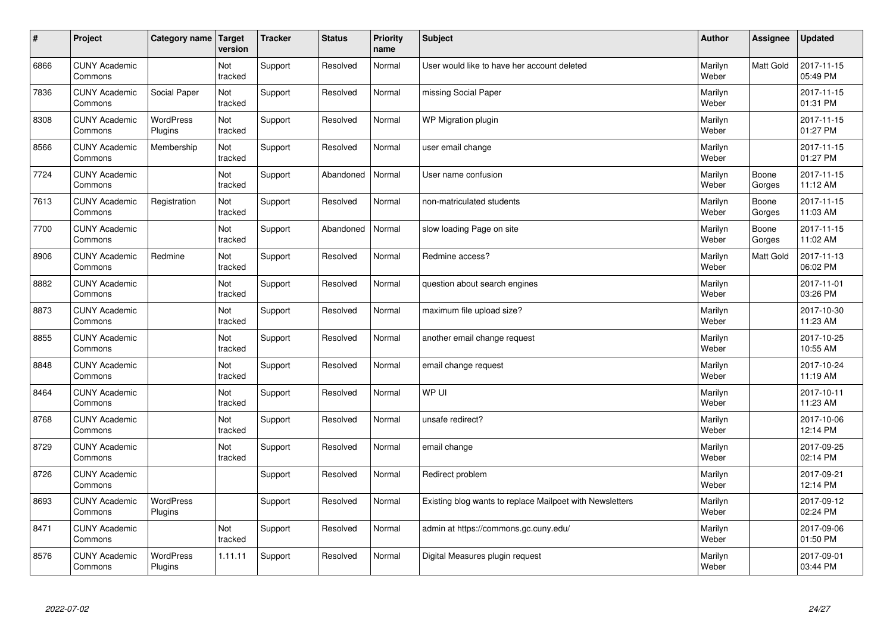| $\vert$ # | Project                         | Category name   Target      | version        | <b>Tracker</b> | <b>Status</b> | <b>Priority</b><br>name | <b>Subject</b>                                           | <b>Author</b>    | <b>Assignee</b> | <b>Updated</b>         |
|-----------|---------------------------------|-----------------------------|----------------|----------------|---------------|-------------------------|----------------------------------------------------------|------------------|-----------------|------------------------|
| 6866      | <b>CUNY Academic</b><br>Commons |                             | Not<br>tracked | Support        | Resolved      | Normal                  | User would like to have her account deleted              | Marilyn<br>Weber | Matt Gold       | 2017-11-15<br>05:49 PM |
| 7836      | <b>CUNY Academic</b><br>Commons | Social Paper                | Not<br>tracked | Support        | Resolved      | Normal                  | missing Social Paper                                     | Marilyn<br>Weber |                 | 2017-11-15<br>01:31 PM |
| 8308      | <b>CUNY Academic</b><br>Commons | WordPress<br>Plugins        | Not<br>tracked | Support        | Resolved      | Normal                  | WP Migration plugin                                      | Marilyn<br>Weber |                 | 2017-11-15<br>01:27 PM |
| 8566      | <b>CUNY Academic</b><br>Commons | Membership                  | Not<br>tracked | Support        | Resolved      | Normal                  | user email change                                        | Marilyn<br>Weber |                 | 2017-11-15<br>01:27 PM |
| 7724      | <b>CUNY Academic</b><br>Commons |                             | Not<br>tracked | Support        | Abandoned     | Normal                  | User name confusion                                      | Marilyn<br>Weber | Boone<br>Gorges | 2017-11-15<br>11:12 AM |
| 7613      | <b>CUNY Academic</b><br>Commons | Registration                | Not<br>tracked | Support        | Resolved      | Normal                  | non-matriculated students                                | Marilyn<br>Weber | Boone<br>Gorges | 2017-11-15<br>11:03 AM |
| 7700      | <b>CUNY Academic</b><br>Commons |                             | Not<br>tracked | Support        | Abandoned     | Normal                  | slow loading Page on site                                | Marilyn<br>Weber | Boone<br>Gorges | 2017-11-15<br>11:02 AM |
| 8906      | <b>CUNY Academic</b><br>Commons | Redmine                     | Not<br>tracked | Support        | Resolved      | Normal                  | Redmine access?                                          | Marilyn<br>Weber | Matt Gold       | 2017-11-13<br>06:02 PM |
| 8882      | <b>CUNY Academic</b><br>Commons |                             | Not<br>tracked | Support        | Resolved      | Normal                  | question about search engines                            | Marilyn<br>Weber |                 | 2017-11-01<br>03:26 PM |
| 8873      | <b>CUNY Academic</b><br>Commons |                             | Not<br>tracked | Support        | Resolved      | Normal                  | maximum file upload size?                                | Marilyn<br>Weber |                 | 2017-10-30<br>11:23 AM |
| 8855      | <b>CUNY Academic</b><br>Commons |                             | Not<br>tracked | Support        | Resolved      | Normal                  | another email change request                             | Marilyn<br>Weber |                 | 2017-10-25<br>10:55 AM |
| 8848      | <b>CUNY Academic</b><br>Commons |                             | Not<br>tracked | Support        | Resolved      | Normal                  | email change request                                     | Marilyn<br>Weber |                 | 2017-10-24<br>11:19 AM |
| 8464      | <b>CUNY Academic</b><br>Commons |                             | Not<br>tracked | Support        | Resolved      | Normal                  | WP UI                                                    | Marilyn<br>Weber |                 | 2017-10-11<br>11:23 AM |
| 8768      | <b>CUNY Academic</b><br>Commons |                             | Not<br>tracked | Support        | Resolved      | Normal                  | unsafe redirect?                                         | Marilyn<br>Weber |                 | 2017-10-06<br>12:14 PM |
| 8729      | <b>CUNY Academic</b><br>Commons |                             | Not<br>tracked | Support        | Resolved      | Normal                  | email change                                             | Marilyn<br>Weber |                 | 2017-09-25<br>02:14 PM |
| 8726      | <b>CUNY Academic</b><br>Commons |                             |                | Support        | Resolved      | Normal                  | Redirect problem                                         | Marilyn<br>Weber |                 | 2017-09-21<br>12:14 PM |
| 8693      | <b>CUNY Academic</b><br>Commons | WordPress<br>Plugins        |                | Support        | Resolved      | Normal                  | Existing blog wants to replace Mailpoet with Newsletters | Marilyn<br>Weber |                 | 2017-09-12<br>02:24 PM |
| 8471      | <b>CUNY Academic</b><br>Commons |                             | Not<br>tracked | Support        | Resolved      | Normal                  | admin at https://commons.gc.cuny.edu/                    | Marilyn<br>Weber |                 | 2017-09-06<br>01:50 PM |
| 8576      | <b>CUNY Academic</b><br>Commons | <b>WordPress</b><br>Plugins | 1.11.11        | Support        | Resolved      | Normal                  | Digital Measures plugin request                          | Marilyn<br>Weber |                 | 2017-09-01<br>03:44 PM |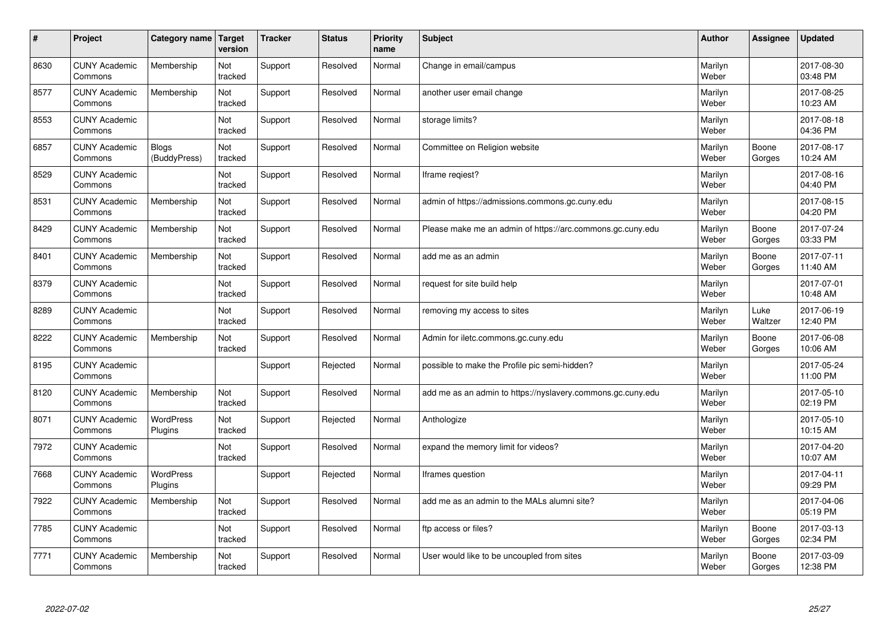| $\vert$ # | Project                         | Category name                | <b>Target</b><br>version | <b>Tracker</b> | <b>Status</b> | <b>Priority</b><br>name | <b>Subject</b>                                              | <b>Author</b>    | Assignee        | <b>Updated</b>         |
|-----------|---------------------------------|------------------------------|--------------------------|----------------|---------------|-------------------------|-------------------------------------------------------------|------------------|-----------------|------------------------|
| 8630      | <b>CUNY Academic</b><br>Commons | Membership                   | Not<br>tracked           | Support        | Resolved      | Normal                  | Change in email/campus                                      | Marilyn<br>Weber |                 | 2017-08-30<br>03:48 PM |
| 8577      | <b>CUNY Academic</b><br>Commons | Membership                   | Not<br>tracked           | Support        | Resolved      | Normal                  | another user email change                                   | Marilyn<br>Weber |                 | 2017-08-25<br>10:23 AM |
| 8553      | <b>CUNY Academic</b><br>Commons |                              | Not<br>tracked           | Support        | Resolved      | Normal                  | storage limits?                                             | Marilyn<br>Weber |                 | 2017-08-18<br>04:36 PM |
| 6857      | <b>CUNY Academic</b><br>Commons | <b>Blogs</b><br>(BuddyPress) | Not<br>tracked           | Support        | Resolved      | Normal                  | Committee on Religion website                               | Marilyn<br>Weber | Boone<br>Gorges | 2017-08-17<br>10:24 AM |
| 8529      | <b>CUNY Academic</b><br>Commons |                              | Not<br>tracked           | Support        | Resolved      | Normal                  | Iframe regiest?                                             | Marilyn<br>Weber |                 | 2017-08-16<br>04:40 PM |
| 8531      | <b>CUNY Academic</b><br>Commons | Membership                   | Not<br>tracked           | Support        | Resolved      | Normal                  | admin of https://admissions.commons.gc.cuny.edu             | Marilyn<br>Weber |                 | 2017-08-15<br>04:20 PM |
| 8429      | <b>CUNY Academic</b><br>Commons | Membership                   | Not<br>tracked           | Support        | Resolved      | Normal                  | Please make me an admin of https://arc.commons.gc.cuny.edu  | Marilyn<br>Weber | Boone<br>Gorges | 2017-07-24<br>03:33 PM |
| 8401      | <b>CUNY Academic</b><br>Commons | Membership                   | Not<br>tracked           | Support        | Resolved      | Normal                  | add me as an admin                                          | Marilyn<br>Weber | Boone<br>Gorges | 2017-07-11<br>11:40 AM |
| 8379      | <b>CUNY Academic</b><br>Commons |                              | Not<br>tracked           | Support        | Resolved      | Normal                  | request for site build help                                 | Marilyn<br>Weber |                 | 2017-07-01<br>10:48 AM |
| 8289      | <b>CUNY Academic</b><br>Commons |                              | Not<br>tracked           | Support        | Resolved      | Normal                  | removing my access to sites                                 | Marilyn<br>Weber | Luke<br>Waltzer | 2017-06-19<br>12:40 PM |
| 8222      | <b>CUNY Academic</b><br>Commons | Membership                   | Not<br>tracked           | Support        | Resolved      | Normal                  | Admin for iletc.commons.gc.cuny.edu                         | Marilyn<br>Weber | Boone<br>Gorges | 2017-06-08<br>10:06 AM |
| 8195      | <b>CUNY Academic</b><br>Commons |                              |                          | Support        | Rejected      | Normal                  | possible to make the Profile pic semi-hidden?               | Marilyn<br>Weber |                 | 2017-05-24<br>11:00 PM |
| 8120      | <b>CUNY Academic</b><br>Commons | Membership                   | Not<br>tracked           | Support        | Resolved      | Normal                  | add me as an admin to https://nyslavery.commons.gc.cuny.edu | Marilyn<br>Weber |                 | 2017-05-10<br>02:19 PM |
| 8071      | <b>CUNY Academic</b><br>Commons | WordPress<br>Plugins         | Not<br>tracked           | Support        | Rejected      | Normal                  | Anthologize                                                 | Marilyn<br>Weber |                 | 2017-05-10<br>10:15 AM |
| 7972      | <b>CUNY Academic</b><br>Commons |                              | Not<br>tracked           | Support        | Resolved      | Normal                  | expand the memory limit for videos?                         | Marilyn<br>Weber |                 | 2017-04-20<br>10:07 AM |
| 7668      | <b>CUNY Academic</b><br>Commons | <b>WordPress</b><br>Plugins  |                          | Support        | Rejected      | Normal                  | Iframes question                                            | Marilyn<br>Weber |                 | 2017-04-11<br>09:29 PM |
| 7922      | <b>CUNY Academic</b><br>Commons | Membership                   | Not<br>tracked           | Support        | Resolved      | Normal                  | add me as an admin to the MALs alumni site?                 | Marilyn<br>Weber |                 | 2017-04-06<br>05:19 PM |
| 7785      | <b>CUNY Academic</b><br>Commons |                              | Not<br>tracked           | Support        | Resolved      | Normal                  | ftp access or files?                                        | Marilyn<br>Weber | Boone<br>Gorges | 2017-03-13<br>02:34 PM |
| 7771      | <b>CUNY Academic</b><br>Commons | Membership                   | Not<br>tracked           | Support        | Resolved      | Normal                  | User would like to be uncoupled from sites                  | Marilyn<br>Weber | Boone<br>Gorges | 2017-03-09<br>12:38 PM |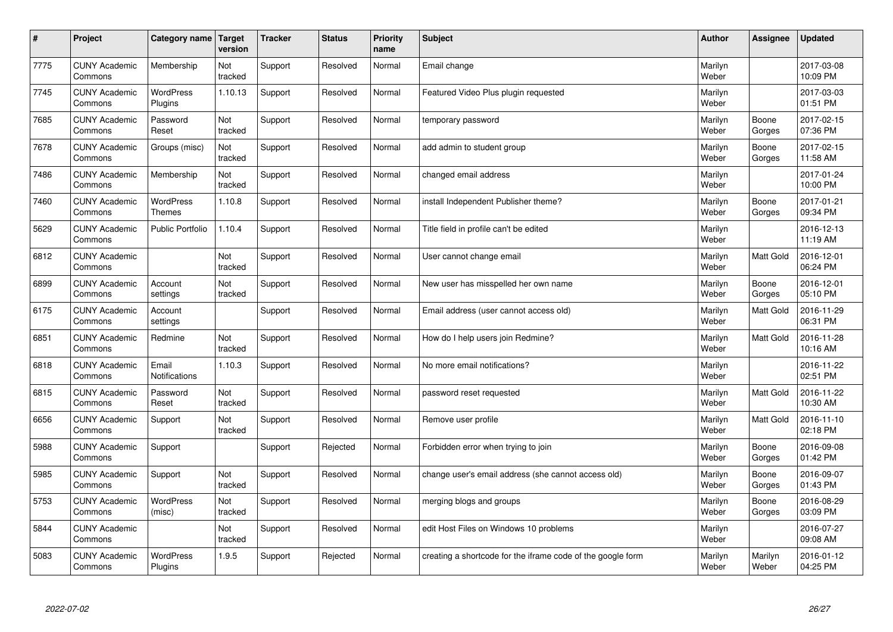| $\sharp$ | Project                         | Category name   Target        | version        | <b>Tracker</b> | <b>Status</b> | <b>Priority</b><br>name | <b>Subject</b>                                              | <b>Author</b>    | Assignee         | <b>Updated</b>         |
|----------|---------------------------------|-------------------------------|----------------|----------------|---------------|-------------------------|-------------------------------------------------------------|------------------|------------------|------------------------|
| 7775     | <b>CUNY Academic</b><br>Commons | Membership                    | Not<br>tracked | Support        | Resolved      | Normal                  | Email change                                                | Marilyn<br>Weber |                  | 2017-03-08<br>10:09 PM |
| 7745     | <b>CUNY Academic</b><br>Commons | <b>WordPress</b><br>Plugins   | 1.10.13        | Support        | Resolved      | Normal                  | Featured Video Plus plugin requested                        | Marilyn<br>Weber |                  | 2017-03-03<br>01:51 PM |
| 7685     | <b>CUNY Academic</b><br>Commons | Password<br>Reset             | Not<br>tracked | Support        | Resolved      | Normal                  | temporary password                                          | Marilyn<br>Weber | Boone<br>Gorges  | 2017-02-15<br>07:36 PM |
| 7678     | <b>CUNY Academic</b><br>Commons | Groups (misc)                 | Not<br>tracked | Support        | Resolved      | Normal                  | add admin to student group                                  | Marilyn<br>Weber | Boone<br>Gorges  | 2017-02-15<br>11:58 AM |
| 7486     | <b>CUNY Academic</b><br>Commons | Membership                    | Not<br>tracked | Support        | Resolved      | Normal                  | changed email address                                       | Marilyn<br>Weber |                  | 2017-01-24<br>10:00 PM |
| 7460     | <b>CUNY Academic</b><br>Commons | WordPress<br><b>Themes</b>    | 1.10.8         | Support        | Resolved      | Normal                  | install Independent Publisher theme?                        | Marilyn<br>Weber | Boone<br>Gorges  | 2017-01-21<br>09:34 PM |
| 5629     | <b>CUNY Academic</b><br>Commons | Public Portfolio              | 1.10.4         | Support        | Resolved      | Normal                  | Title field in profile can't be edited                      | Marilyn<br>Weber |                  | 2016-12-13<br>11:19 AM |
| 6812     | <b>CUNY Academic</b><br>Commons |                               | Not<br>tracked | Support        | Resolved      | Normal                  | User cannot change email                                    | Marilyn<br>Weber | Matt Gold        | 2016-12-01<br>06:24 PM |
| 6899     | <b>CUNY Academic</b><br>Commons | Account<br>settings           | Not<br>tracked | Support        | Resolved      | Normal                  | New user has misspelled her own name                        | Marilyn<br>Weber | Boone<br>Gorges  | 2016-12-01<br>05:10 PM |
| 6175     | <b>CUNY Academic</b><br>Commons | Account<br>settings           |                | Support        | Resolved      | Normal                  | Email address (user cannot access old)                      | Marilyn<br>Weber | Matt Gold        | 2016-11-29<br>06:31 PM |
| 6851     | <b>CUNY Academic</b><br>Commons | Redmine                       | Not<br>tracked | Support        | Resolved      | Normal                  | How do I help users join Redmine?                           | Marilyn<br>Weber | Matt Gold        | 2016-11-28<br>10:16 AM |
| 6818     | <b>CUNY Academic</b><br>Commons | Email<br><b>Notifications</b> | 1.10.3         | Support        | Resolved      | Normal                  | No more email notifications?                                | Marilyn<br>Weber |                  | 2016-11-22<br>02:51 PM |
| 6815     | <b>CUNY Academic</b><br>Commons | Password<br>Reset             | Not<br>tracked | Support        | Resolved      | Normal                  | password reset requested                                    | Marilyn<br>Weber | Matt Gold        | 2016-11-22<br>10:30 AM |
| 6656     | <b>CUNY Academic</b><br>Commons | Support                       | Not<br>tracked | Support        | Resolved      | Normal                  | Remove user profile                                         | Marilyn<br>Weber | Matt Gold        | 2016-11-10<br>02:18 PM |
| 5988     | <b>CUNY Academic</b><br>Commons | Support                       |                | Support        | Rejected      | Normal                  | Forbidden error when trying to join                         | Marilyn<br>Weber | Boone<br>Gorges  | 2016-09-08<br>01:42 PM |
| 5985     | <b>CUNY Academic</b><br>Commons | Support                       | Not<br>tracked | Support        | Resolved      | Normal                  | change user's email address (she cannot access old)         | Marilyn<br>Weber | Boone<br>Gorges  | 2016-09-07<br>01:43 PM |
| 5753     | <b>CUNY Academic</b><br>Commons | WordPress<br>(misc)           | Not<br>tracked | Support        | Resolved      | Normal                  | merging blogs and groups                                    | Marilyn<br>Weber | Boone<br>Gorges  | 2016-08-29<br>03:09 PM |
| 5844     | <b>CUNY Academic</b><br>Commons |                               | Not<br>tracked | Support        | Resolved      | Normal                  | edit Host Files on Windows 10 problems                      | Marilyn<br>Weber |                  | 2016-07-27<br>09:08 AM |
| 5083     | <b>CUNY Academic</b><br>Commons | <b>WordPress</b><br>Plugins   | 1.9.5          | Support        | Rejected      | Normal                  | creating a shortcode for the iframe code of the google form | Marilyn<br>Weber | Marilyn<br>Weber | 2016-01-12<br>04:25 PM |